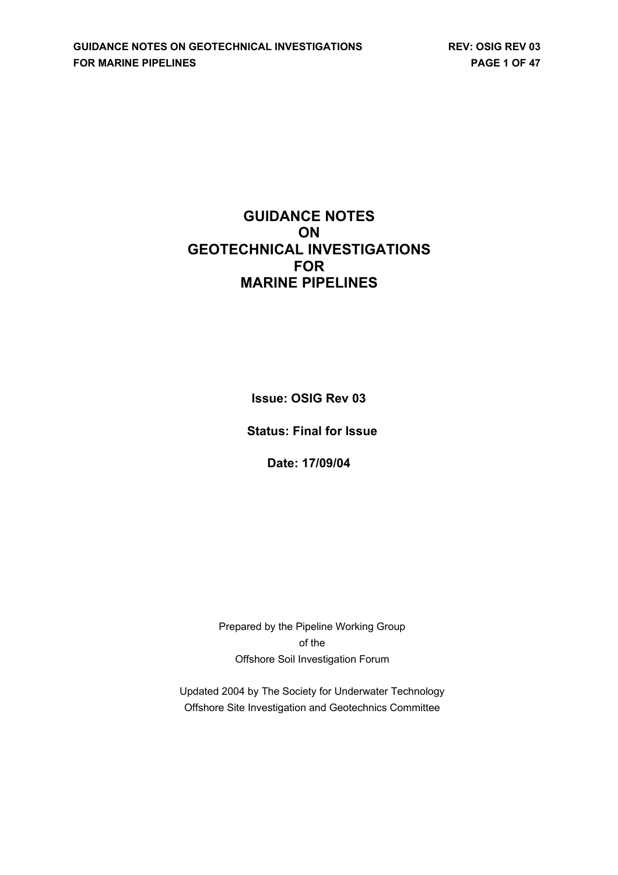# **GUIDANCE NOTES ON GEOTECHNICAL INVESTIGATIONS FOR MARINE PIPELINES**

**Issue: OSIG Rev 03**

**Status: Final for Issue**

**Date: 17/09/04**

Prepared by the Pipeline Working Group of the Offshore Soil Investigation Forum

Updated 2004 by The Society for Underwater Technology Offshore Site Investigation and Geotechnics Committee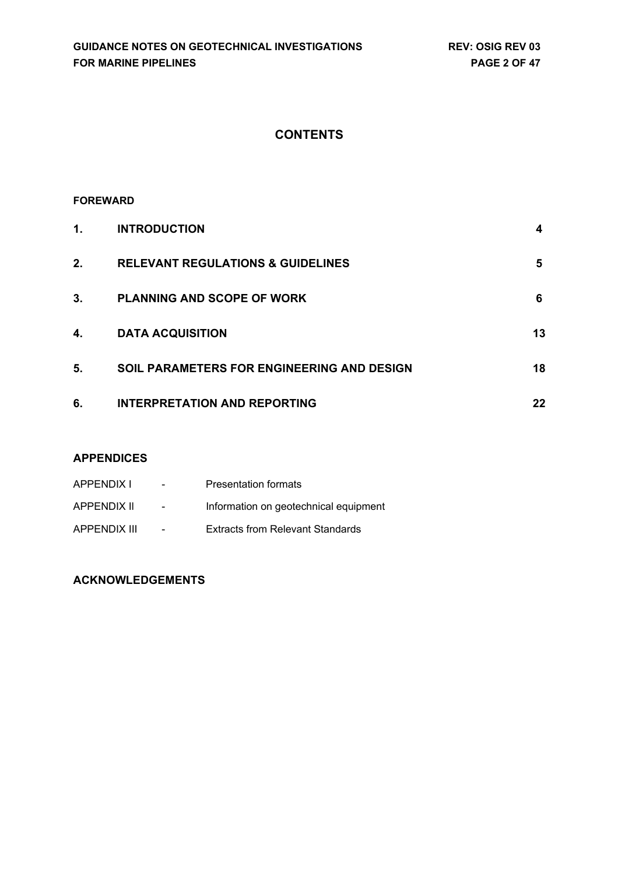# **CONTENTS**

### **FOREWARD**

| 1. | <b>INTRODUCTION</b>                               | 4  |
|----|---------------------------------------------------|----|
| 2. | <b>RELEVANT REGULATIONS &amp; GUIDELINES</b>      | 5  |
| 3. | <b>PLANNING AND SCOPE OF WORK</b>                 | 6  |
| 4. | <b>DATA ACQUISITION</b>                           | 13 |
| 5. | <b>SOIL PARAMETERS FOR ENGINEERING AND DESIGN</b> | 18 |
| 6. | <b>INTERPRETATION AND REPORTING</b>               | 22 |

### **APPENDICES**

| APPENDIX I          | $\blacksquare$ | <b>Presentation formats</b>             |
|---------------------|----------------|-----------------------------------------|
| APPENDIX II         | $\sim$         | Information on geotechnical equipment   |
| <b>APPENDIX III</b> | $\sim$         | <b>Extracts from Relevant Standards</b> |

## **ACKNOWLEDGEMENTS**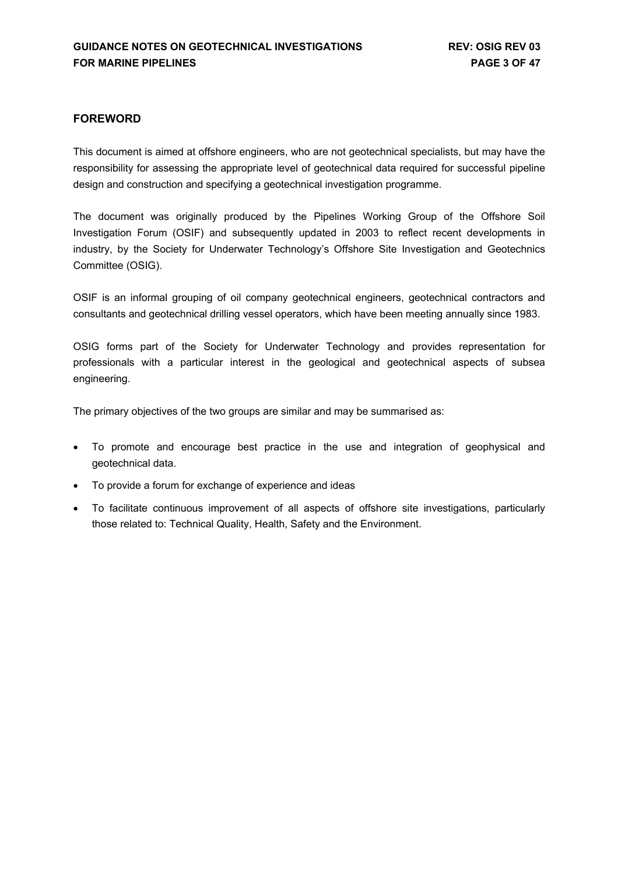### **FOREWORD**

This document is aimed at offshore engineers, who are not geotechnical specialists, but may have the responsibility for assessing the appropriate level of geotechnical data required for successful pipeline design and construction and specifying a geotechnical investigation programme.

The document was originally produced by the Pipelines Working Group of the Offshore Soil Investigation Forum (OSIF) and subsequently updated in 2003 to reflect recent developments in industry, by the Society for Underwater Technology's Offshore Site Investigation and Geotechnics Committee (OSIG).

OSIF is an informal grouping of oil company geotechnical engineers, geotechnical contractors and consultants and geotechnical drilling vessel operators, which have been meeting annually since 1983.

OSIG forms part of the Society for Underwater Technology and provides representation for professionals with a particular interest in the geological and geotechnical aspects of subsea engineering.

The primary objectives of the two groups are similar and may be summarised as:

- To promote and encourage best practice in the use and integration of geophysical and geotechnical data.
- To provide a forum for exchange of experience and ideas
- To facilitate continuous improvement of all aspects of offshore site investigations, particularly those related to: Technical Quality, Health, Safety and the Environment.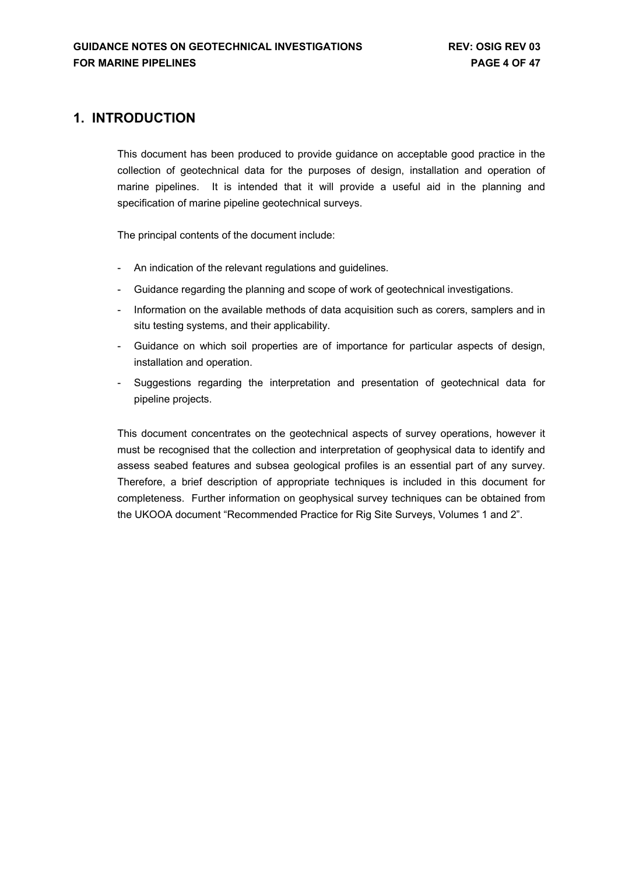## <span id="page-3-0"></span>**1. INTRODUCTION**

This document has been produced to provide guidance on acceptable good practice in the collection of geotechnical data for the purposes of design, installation and operation of marine pipelines. It is intended that it will provide a useful aid in the planning and specification of marine pipeline geotechnical surveys.

The principal contents of the document include:

- An indication of the relevant regulations and guidelines.
- Guidance regarding the planning and scope of work of geotechnical investigations.
- Information on the available methods of data acquisition such as corers, samplers and in situ testing systems, and their applicability.
- Guidance on which soil properties are of importance for particular aspects of design, installation and operation.
- Suggestions regarding the interpretation and presentation of geotechnical data for pipeline projects.

This document concentrates on the geotechnical aspects of survey operations, however it must be recognised that the collection and interpretation of geophysical data to identify and assess seabed features and subsea geological profiles is an essential part of any survey. Therefore, a brief description of appropriate techniques is included in this document for completeness. Further information on geophysical survey techniques can be obtained from the UKOOA document "Recommended Practice for Rig Site Surveys, Volumes 1 and 2".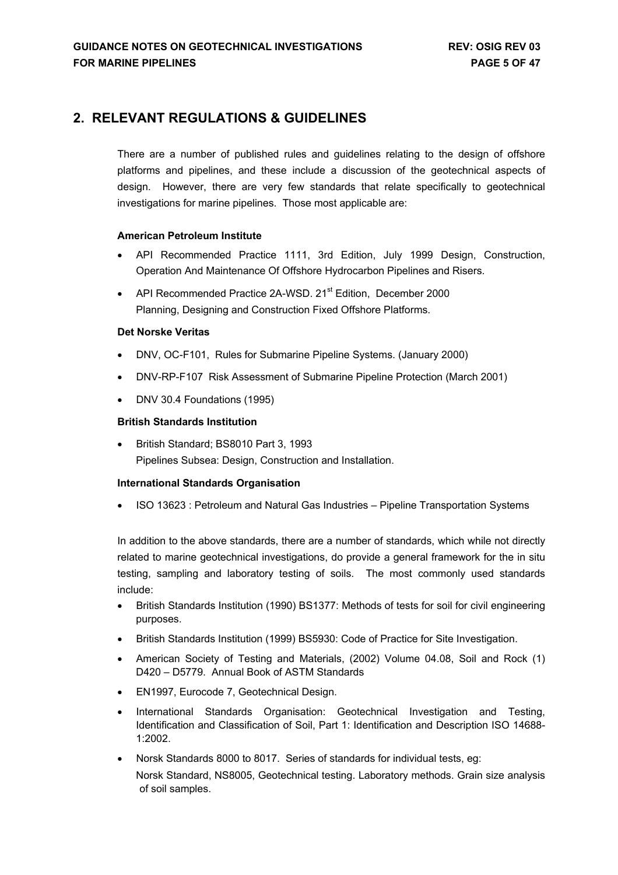## <span id="page-4-0"></span>**2. RELEVANT REGULATIONS & GUIDELINES**

There are a number of published rules and guidelines relating to the design of offshore platforms and pipelines, and these include a discussion of the geotechnical aspects of design. However, there are very few standards that relate specifically to geotechnical investigations for marine pipelines. Those most applicable are:

### **American Petroleum Institute**

- API Recommended Practice 1111, 3rd Edition, July 1999 Design, Construction, Operation And Maintenance Of Offshore Hydrocarbon Pipelines and Risers.
- API Recommended Practice 2A-WSD, 21<sup>st</sup> Edition, December 2000 Planning, Designing and Construction Fixed Offshore Platforms.

### **Det Norske Veritas**

- DNV, OC-F101, Rules for Submarine Pipeline Systems. (January 2000)
- DNV-RP-F107 Risk Assessment of Submarine Pipeline Protection (March 2001)
- DNV 30.4 Foundations (1995)

### **British Standards Institution**

• British Standard; BS8010 Part 3, 1993 Pipelines Subsea: Design, Construction and Installation.

#### **International Standards Organisation**

• ISO 13623 : Petroleum and Natural Gas Industries – Pipeline Transportation Systems

In addition to the above standards, there are a number of standards, which while not directly related to marine geotechnical investigations, do provide a general framework for the in situ testing, sampling and laboratory testing of soils. The most commonly used standards include:

- British Standards Institution (1990) BS1377: Methods of tests for soil for civil engineering purposes.
- British Standards Institution (1999) BS5930: Code of Practice for Site Investigation.
- American Society of Testing and Materials, (2002) Volume 04.08, Soil and Rock (1) D420 – D5779. Annual Book of ASTM Standards
- EN1997, Eurocode 7, Geotechnical Design.
- International Standards Organisation: Geotechnical Investigation and Testing, Identification and Classification of Soil, Part 1: Identification and Description ISO 14688- 1:2002.
- Norsk Standards 8000 to 8017. Series of standards for individual tests, eg: Norsk Standard, NS8005, Geotechnical testing. Laboratory methods. Grain size analysis of soil samples.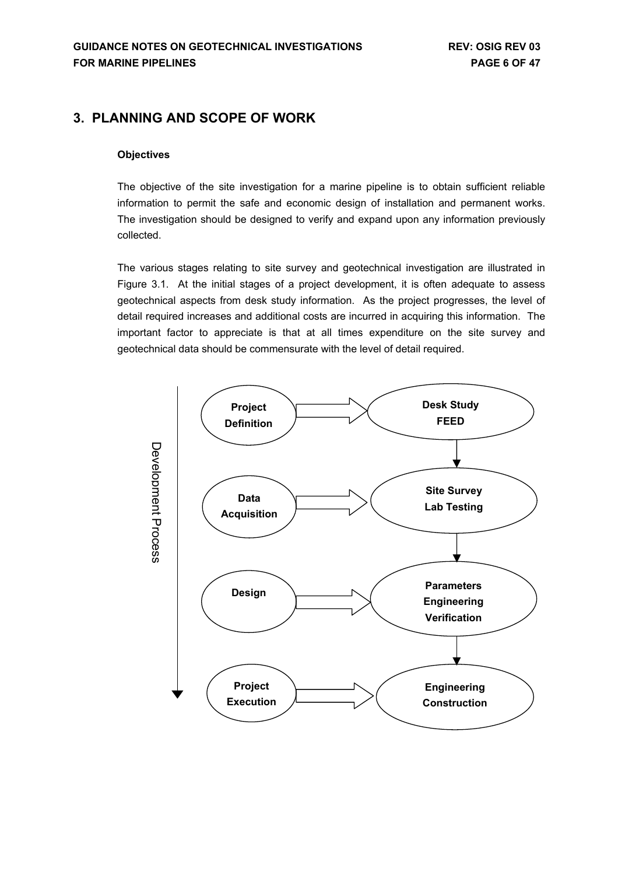## <span id="page-5-0"></span>**3. PLANNING AND SCOPE OF WORK**

### **Objectives**

The objective of the site investigation for a marine pipeline is to obtain sufficient reliable information to permit the safe and economic design of installation and permanent works. The investigation should be designed to verify and expand upon any information previously collected.

The various stages relating to site survey and geotechnical investigation are illustrated in Figure 3.1. At the initial stages of a project development, it is often adequate to assess geotechnical aspects from desk study information. As the project progresses, the level of detail required increases and additional costs are incurred in acquiring this information. The important factor to appreciate is that at all times expenditure on the site survey and geotechnical data should be commensurate with the level of detail required.

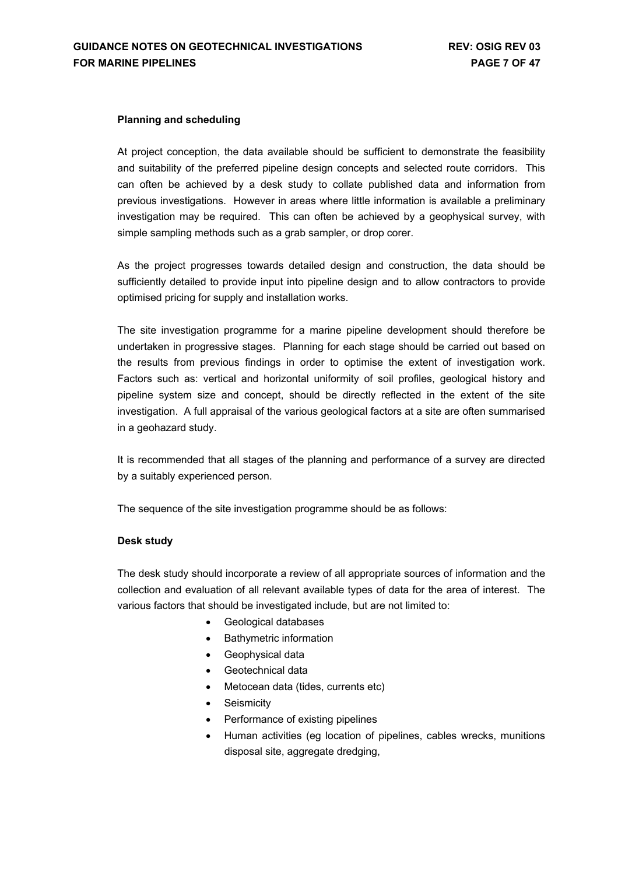#### **Planning and scheduling**

At project conception, the data available should be sufficient to demonstrate the feasibility and suitability of the preferred pipeline design concepts and selected route corridors. This can often be achieved by a desk study to collate published data and information from previous investigations. However in areas where little information is available a preliminary investigation may be required. This can often be achieved by a geophysical survey, with simple sampling methods such as a grab sampler, or drop corer.

As the project progresses towards detailed design and construction, the data should be sufficiently detailed to provide input into pipeline design and to allow contractors to provide optimised pricing for supply and installation works.

The site investigation programme for a marine pipeline development should therefore be undertaken in progressive stages. Planning for each stage should be carried out based on the results from previous findings in order to optimise the extent of investigation work. Factors such as: vertical and horizontal uniformity of soil profiles, geological history and pipeline system size and concept, should be directly reflected in the extent of the site investigation. A full appraisal of the various geological factors at a site are often summarised in a geohazard study.

It is recommended that all stages of the planning and performance of a survey are directed by a suitably experienced person.

The sequence of the site investigation programme should be as follows:

#### **Desk study**

The desk study should incorporate a review of all appropriate sources of information and the collection and evaluation of all relevant available types of data for the area of interest. The various factors that should be investigated include, but are not limited to:

- Geological databases
- Bathymetric information
- Geophysical data
- Geotechnical data
- Metocean data (tides, currents etc)
- Seismicity
- Performance of existing pipelines
- Human activities (eg location of pipelines, cables wrecks, munitions disposal site, aggregate dredging,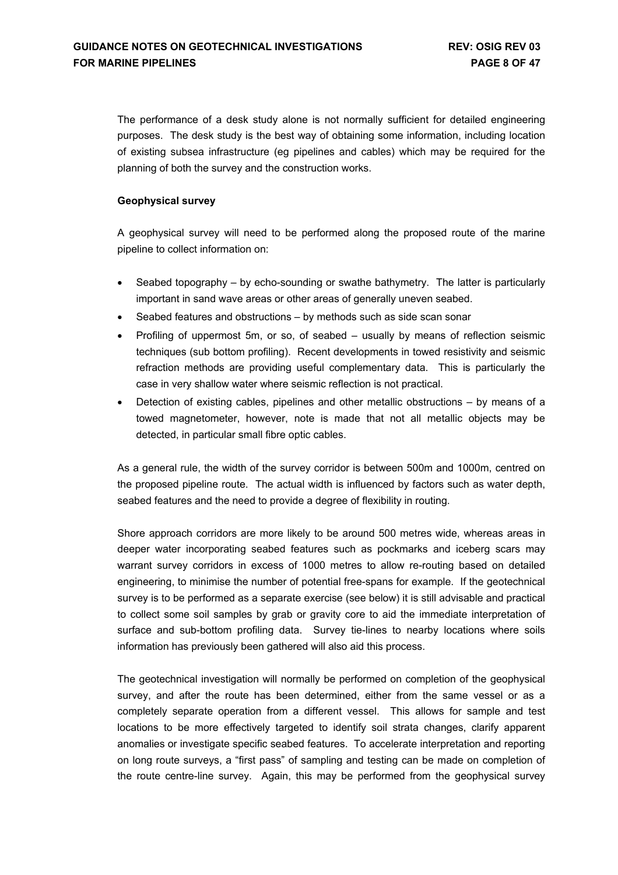The performance of a desk study alone is not normally sufficient for detailed engineering purposes. The desk study is the best way of obtaining some information, including location of existing subsea infrastructure (eg pipelines and cables) which may be required for the planning of both the survey and the construction works.

### **Geophysical survey**

A geophysical survey will need to be performed along the proposed route of the marine pipeline to collect information on:

- Seabed topography by echo-sounding or swathe bathymetry. The latter is particularly important in sand wave areas or other areas of generally uneven seabed.
- Seabed features and obstructions by methods such as side scan sonar
- Profiling of uppermost 5m, or so, of seabed usually by means of reflection seismic techniques (sub bottom profiling). Recent developments in towed resistivity and seismic refraction methods are providing useful complementary data. This is particularly the case in very shallow water where seismic reflection is not practical.
- Detection of existing cables, pipelines and other metallic obstructions by means of a towed magnetometer, however, note is made that not all metallic objects may be detected, in particular small fibre optic cables.

As a general rule, the width of the survey corridor is between 500m and 1000m, centred on the proposed pipeline route. The actual width is influenced by factors such as water depth, seabed features and the need to provide a degree of flexibility in routing.

Shore approach corridors are more likely to be around 500 metres wide, whereas areas in deeper water incorporating seabed features such as pockmarks and iceberg scars may warrant survey corridors in excess of 1000 metres to allow re-routing based on detailed engineering, to minimise the number of potential free-spans for example. If the geotechnical survey is to be performed as a separate exercise (see below) it is still advisable and practical to collect some soil samples by grab or gravity core to aid the immediate interpretation of surface and sub-bottom profiling data. Survey tie-lines to nearby locations where soils information has previously been gathered will also aid this process.

The geotechnical investigation will normally be performed on completion of the geophysical survey, and after the route has been determined, either from the same vessel or as a completely separate operation from a different vessel. This allows for sample and test locations to be more effectively targeted to identify soil strata changes, clarify apparent anomalies or investigate specific seabed features. To accelerate interpretation and reporting on long route surveys, a "first pass" of sampling and testing can be made on completion of the route centre-line survey. Again, this may be performed from the geophysical survey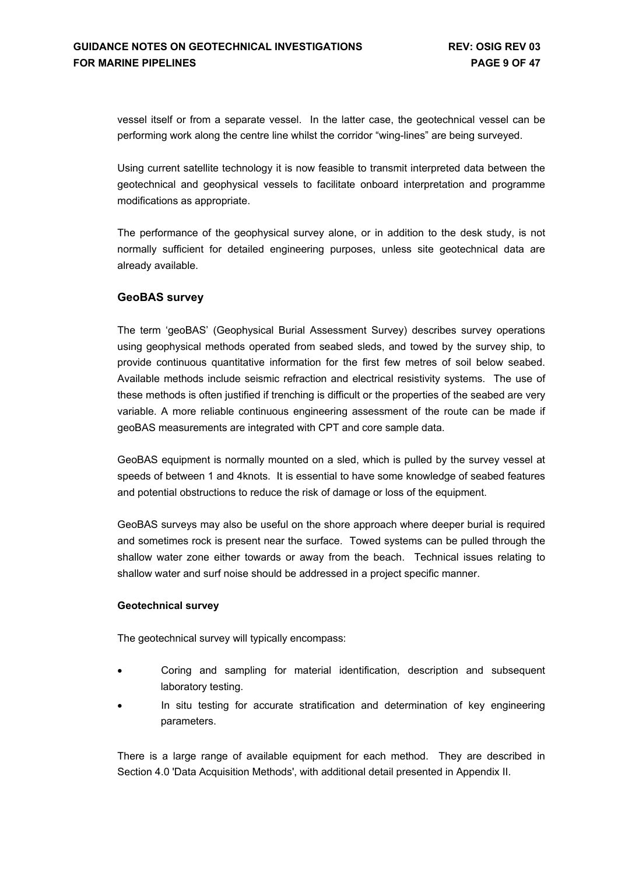vessel itself or from a separate vessel. In the latter case, the geotechnical vessel can be performing work along the centre line whilst the corridor "wing-lines" are being surveyed.

Using current satellite technology it is now feasible to transmit interpreted data between the geotechnical and geophysical vessels to facilitate onboard interpretation and programme modifications as appropriate.

The performance of the geophysical survey alone, or in addition to the desk study, is not normally sufficient for detailed engineering purposes, unless site geotechnical data are already available.

### **GeoBAS survey**

The term 'geoBAS' (Geophysical Burial Assessment Survey) describes survey operations using geophysical methods operated from seabed sleds, and towed by the survey ship, to provide continuous quantitative information for the first few metres of soil below seabed. Available methods include seismic refraction and electrical resistivity systems. The use of these methods is often justified if trenching is difficult or the properties of the seabed are very variable. A more reliable continuous engineering assessment of the route can be made if geoBAS measurements are integrated with CPT and core sample data.

GeoBAS equipment is normally mounted on a sled, which is pulled by the survey vessel at speeds of between 1 and 4knots. It is essential to have some knowledge of seabed features and potential obstructions to reduce the risk of damage or loss of the equipment.

GeoBAS surveys may also be useful on the shore approach where deeper burial is required and sometimes rock is present near the surface. Towed systems can be pulled through the shallow water zone either towards or away from the beach. Technical issues relating to shallow water and surf noise should be addressed in a project specific manner.

#### **Geotechnical survey**

The geotechnical survey will typically encompass:

- Coring and sampling for material identification, description and subsequent laboratory testing.
- In situ testing for accurate stratification and determination of key engineering parameters.

There is a large range of available equipment for each method. They are described in Section 4.0 'Data Acquisition Methods', with additional detail presented in Appendix II.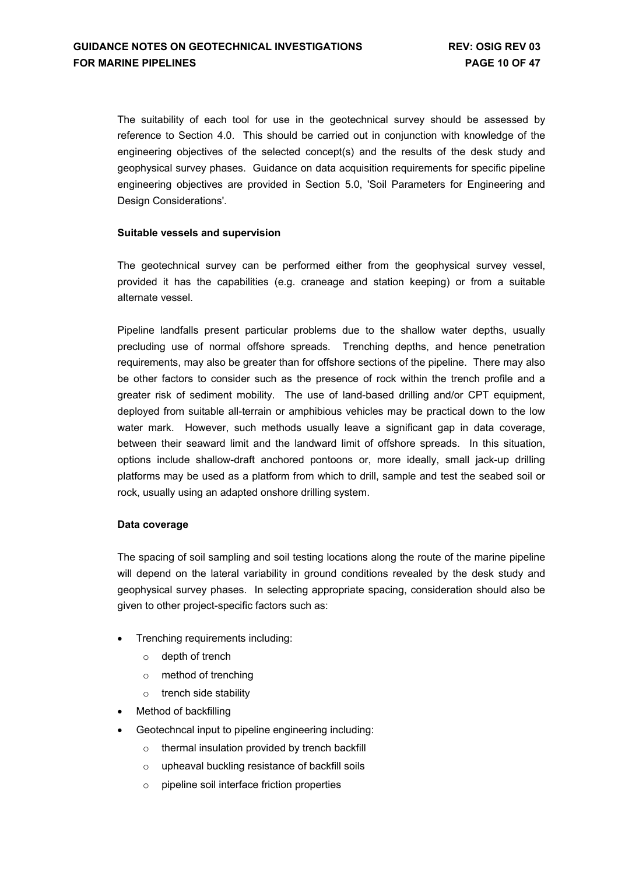The suitability of each tool for use in the geotechnical survey should be assessed by reference to Section 4.0. This should be carried out in conjunction with knowledge of the engineering objectives of the selected concept(s) and the results of the desk study and geophysical survey phases. Guidance on data acquisition requirements for specific pipeline engineering objectives are provided in Section 5.0, 'Soil Parameters for Engineering and Design Considerations'.

### **Suitable vessels and supervision**

The geotechnical survey can be performed either from the geophysical survey vessel, provided it has the capabilities (e.g. craneage and station keeping) or from a suitable alternate vessel.

Pipeline landfalls present particular problems due to the shallow water depths, usually precluding use of normal offshore spreads. Trenching depths, and hence penetration requirements, may also be greater than for offshore sections of the pipeline. There may also be other factors to consider such as the presence of rock within the trench profile and a greater risk of sediment mobility. The use of land-based drilling and/or CPT equipment, deployed from suitable all-terrain or amphibious vehicles may be practical down to the low water mark. However, such methods usually leave a significant gap in data coverage, between their seaward limit and the landward limit of offshore spreads. In this situation, options include shallow-draft anchored pontoons or, more ideally, small jack-up drilling platforms may be used as a platform from which to drill, sample and test the seabed soil or rock, usually using an adapted onshore drilling system.

#### **Data coverage**

The spacing of soil sampling and soil testing locations along the route of the marine pipeline will depend on the lateral variability in ground conditions revealed by the desk study and geophysical survey phases. In selecting appropriate spacing, consideration should also be given to other project-specific factors such as:

- Trenching requirements including:
	- o depth of trench
	- o method of trenching
	- o trench side stability
- Method of backfilling
- Geotechncal input to pipeline engineering including:
	- o thermal insulation provided by trench backfill
	- o upheaval buckling resistance of backfill soils
	- o pipeline soil interface friction properties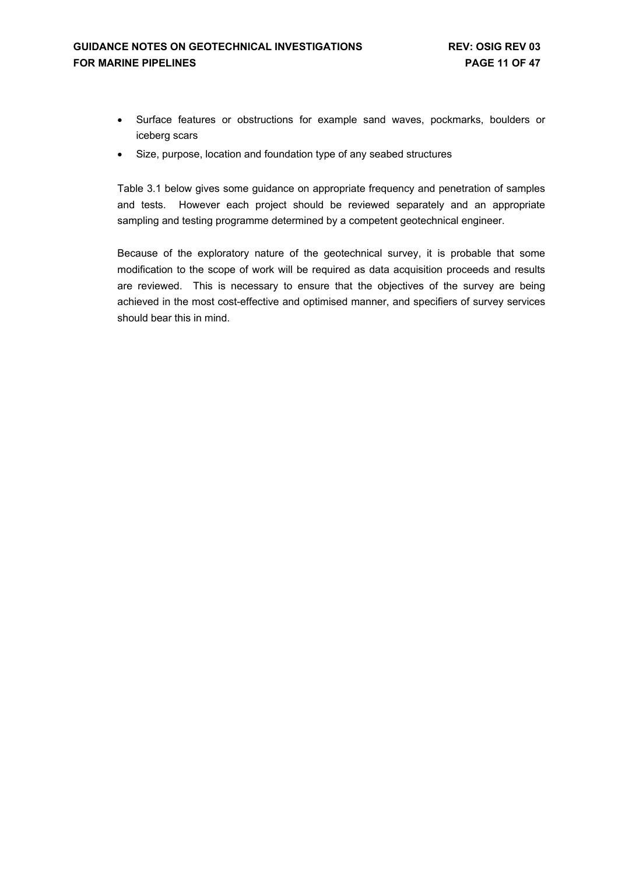- Surface features or obstructions for example sand waves, pockmarks, boulders or iceberg scars
- Size, purpose, location and foundation type of any seabed structures

Table 3.1 below gives some guidance on appropriate frequency and penetration of samples and tests. However each project should be reviewed separately and an appropriate sampling and testing programme determined by a competent geotechnical engineer.

Because of the exploratory nature of the geotechnical survey, it is probable that some modification to the scope of work will be required as data acquisition proceeds and results are reviewed. This is necessary to ensure that the objectives of the survey are being achieved in the most cost-effective and optimised manner, and specifiers of survey services should bear this in mind.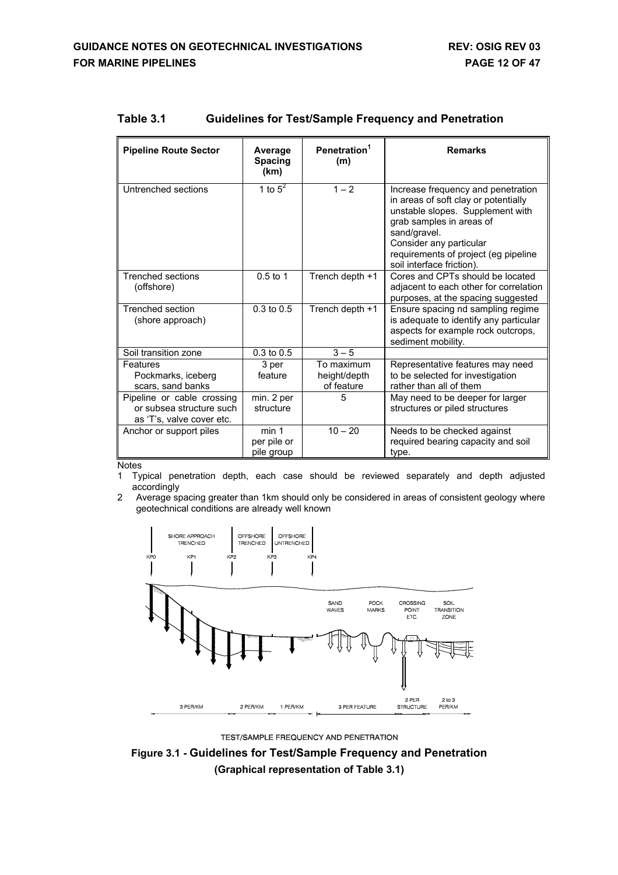| <b>Pipeline Route Sector</b>                                                        | Average<br><b>Spacing</b><br>(km)  | Penetration <sup>1</sup><br>(m)          | <b>Remarks</b>                                                                                                                                                                                                                                             |
|-------------------------------------------------------------------------------------|------------------------------------|------------------------------------------|------------------------------------------------------------------------------------------------------------------------------------------------------------------------------------------------------------------------------------------------------------|
| Untrenched sections                                                                 | 1 to $5^2$                         | $1 - 2$                                  | Increase frequency and penetration<br>in areas of soft clay or potentially<br>unstable slopes. Supplement with<br>grab samples in areas of<br>sand/gravel.<br>Consider any particular<br>requirements of project (eg pipeline<br>soil interface friction). |
| <b>Trenched sections</b><br>(offshore)                                              | $0.5$ to 1                         | Trench depth +1                          | Cores and CPTs should be located<br>adjacent to each other for correlation<br>purposes, at the spacing suggested                                                                                                                                           |
| Trenched section<br>(shore approach)                                                | $0.3$ to $0.5$                     | Trench depth +1                          | Ensure spacing nd sampling regime<br>is adequate to identify any particular<br>aspects for example rock outcrops,<br>sediment mobility.                                                                                                                    |
| Soil transition zone                                                                | $0.3$ to $0.5$                     | $3 - 5$                                  |                                                                                                                                                                                                                                                            |
| Features<br>Pockmarks, iceberg<br>scars, sand banks                                 | 3 per<br>feature                   | To maximum<br>height/depth<br>of feature | Representative features may need<br>to be selected for investigation<br>rather than all of them                                                                                                                                                            |
| Pipeline or cable crossing<br>or subsea structure such<br>as 'T's, valve cover etc. | min. 2 per<br>structure            | 5                                        | May need to be deeper for larger<br>structures or piled structures                                                                                                                                                                                         |
| Anchor or support piles                                                             | min 1<br>per pile or<br>pile group | $10 - 20$                                | Needs to be checked against<br>required bearing capacity and soil<br>type.                                                                                                                                                                                 |

### **Table 3.1 Guidelines for Test/Sample Frequency and Penetration**

**Notes** 

- 1 Typical penetration depth, each case should be reviewed separately and depth adjusted accordingly
- 2 Average spacing greater than 1km should only be considered in areas of consistent geology where geotechnical conditions are already well known



TEST/SAMPLE FREQUENCY AND PENETRATION

**Figure 3.1 - Guidelines for Test/Sample Frequency and Penetration (Graphical representation of Table 3.1)**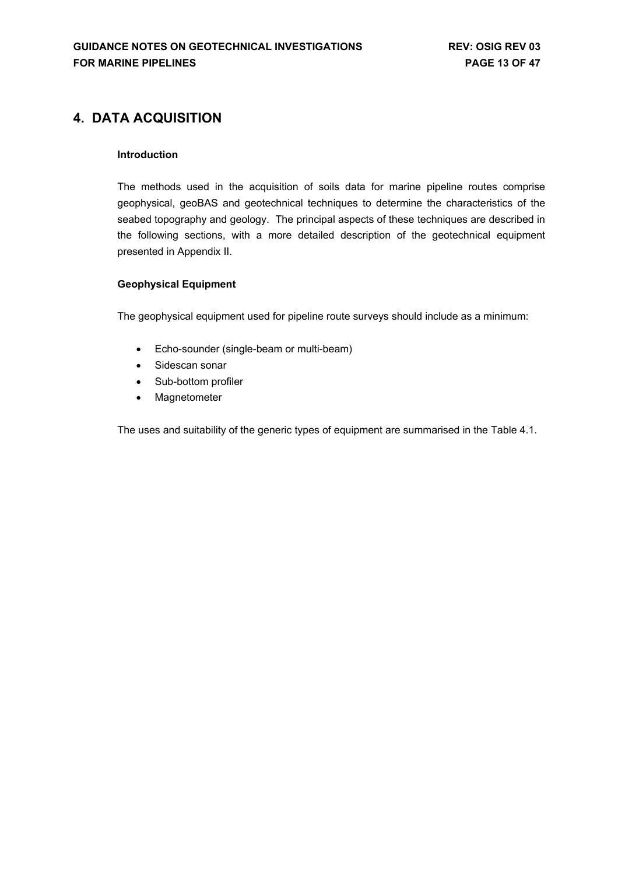## <span id="page-12-0"></span>**4. DATA ACQUISITION**

### **Introduction**

The methods used in the acquisition of soils data for marine pipeline routes comprise geophysical, geoBAS and geotechnical techniques to determine the characteristics of the seabed topography and geology. The principal aspects of these techniques are described in the following sections, with a more detailed description of the geotechnical equipment presented in Appendix II.

### **Geophysical Equipment**

The geophysical equipment used for pipeline route surveys should include as a minimum:

- Echo-sounder (single-beam or multi-beam)
- Sidescan sonar
- Sub-bottom profiler
- Magnetometer

The uses and suitability of the generic types of equipment are summarised in the Table 4.1.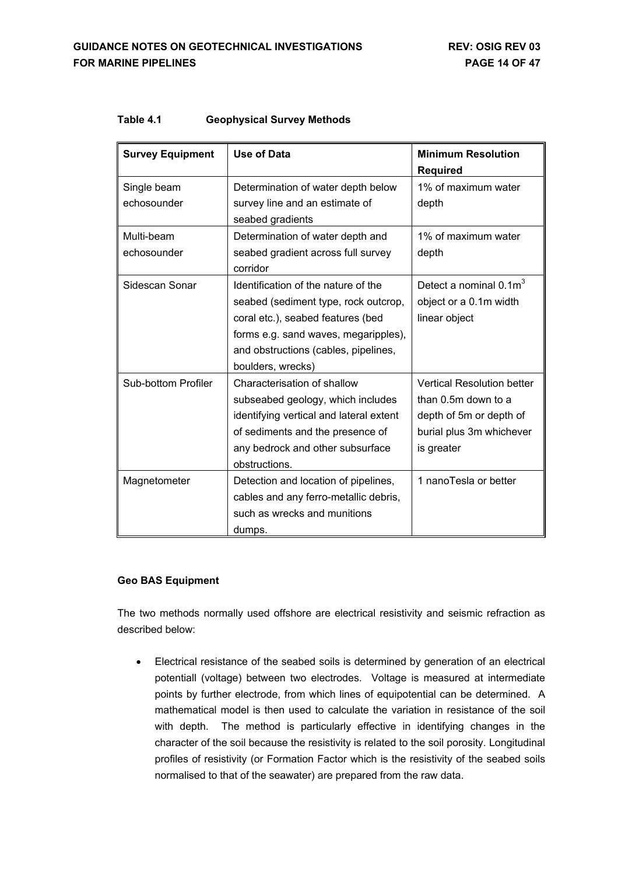| <b>Survey Equipment</b>    | <b>Use of Data</b>                                                                                                                                                                                                    | <b>Minimum Resolution</b><br><b>Required</b>                                                                                  |
|----------------------------|-----------------------------------------------------------------------------------------------------------------------------------------------------------------------------------------------------------------------|-------------------------------------------------------------------------------------------------------------------------------|
| Single beam<br>echosounder | Determination of water depth below<br>survey line and an estimate of<br>seabed gradients                                                                                                                              | 1% of maximum water<br>depth                                                                                                  |
| Multi-beam<br>echosounder  | Determination of water depth and<br>seabed gradient across full survey<br>corridor                                                                                                                                    | 1% of maximum water<br>depth                                                                                                  |
| Sidescan Sonar             | Identification of the nature of the<br>seabed (sediment type, rock outcrop,<br>coral etc.), seabed features (bed<br>forms e.g. sand waves, megaripples),<br>and obstructions (cables, pipelines,<br>boulders, wrecks) | Detect a nominal $0.1m3$<br>object or a 0.1m width<br>linear object                                                           |
| Sub-bottom Profiler        | Characterisation of shallow<br>subseabed geology, which includes<br>identifying vertical and lateral extent<br>of sediments and the presence of<br>any bedrock and other subsurface<br>obstructions.                  | <b>Vertical Resolution better</b><br>than 0.5m down to a<br>depth of 5m or depth of<br>burial plus 3m whichever<br>is greater |
| Magnetometer               | Detection and location of pipelines,<br>cables and any ferro-metallic debris,<br>such as wrecks and munitions<br>dumps.                                                                                               | 1 nanoTesla or better                                                                                                         |

### **Table 4.1 Geophysical Survey Methods**

### **Geo BAS Equipment**

The two methods normally used offshore are electrical resistivity and seismic refraction as described below:

• Electrical resistance of the seabed soils is determined by generation of an electrical potentiall (voltage) between two electrodes. Voltage is measured at intermediate points by further electrode, from which lines of equipotential can be determined. A mathematical model is then used to calculate the variation in resistance of the soil with depth. The method is particularly effective in identifying changes in the character of the soil because the resistivity is related to the soil porosity. Longitudinal profiles of resistivity (or Formation Factor which is the resistivity of the seabed soils normalised to that of the seawater) are prepared from the raw data.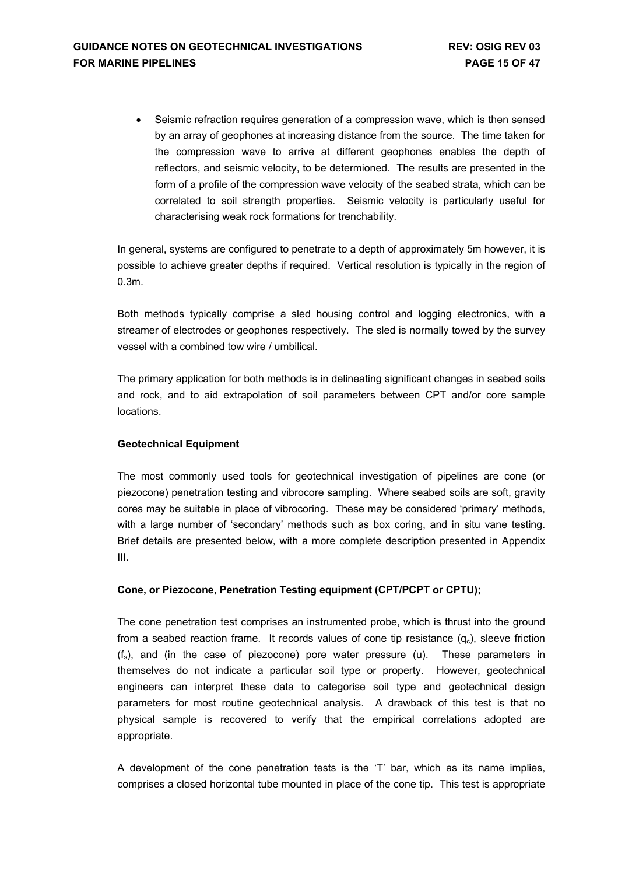• Seismic refraction requires generation of a compression wave, which is then sensed by an array of geophones at increasing distance from the source. The time taken for the compression wave to arrive at different geophones enables the depth of reflectors, and seismic velocity, to be determioned. The results are presented in the form of a profile of the compression wave velocity of the seabed strata, which can be correlated to soil strength properties. Seismic velocity is particularly useful for characterising weak rock formations for trenchability.

In general, systems are configured to penetrate to a depth of approximately 5m however, it is possible to achieve greater depths if required. Vertical resolution is typically in the region of 0.3m.

Both methods typically comprise a sled housing control and logging electronics, with a streamer of electrodes or geophones respectively. The sled is normally towed by the survey vessel with a combined tow wire / umbilical.

The primary application for both methods is in delineating significant changes in seabed soils and rock, and to aid extrapolation of soil parameters between CPT and/or core sample locations.

### **Geotechnical Equipment**

The most commonly used tools for geotechnical investigation of pipelines are cone (or piezocone) penetration testing and vibrocore sampling. Where seabed soils are soft, gravity cores may be suitable in place of vibrocoring. These may be considered 'primary' methods, with a large number of 'secondary' methods such as box coring, and in situ vane testing. Brief details are presented below, with a more complete description presented in Appendix III.

### **Cone, or Piezocone, Penetration Testing equipment (CPT/PCPT or CPTU);**

The cone penetration test comprises an instrumented probe, which is thrust into the ground from a seabed reaction frame. It records values of cone tip resistance  $(q_c)$ , sleeve friction  $(f_s)$ , and (in the case of piezocone) pore water pressure (u). These parameters in themselves do not indicate a particular soil type or property. However, geotechnical engineers can interpret these data to categorise soil type and geotechnical design parameters for most routine geotechnical analysis. A drawback of this test is that no physical sample is recovered to verify that the empirical correlations adopted are appropriate.

A development of the cone penetration tests is the 'T' bar, which as its name implies, comprises a closed horizontal tube mounted in place of the cone tip. This test is appropriate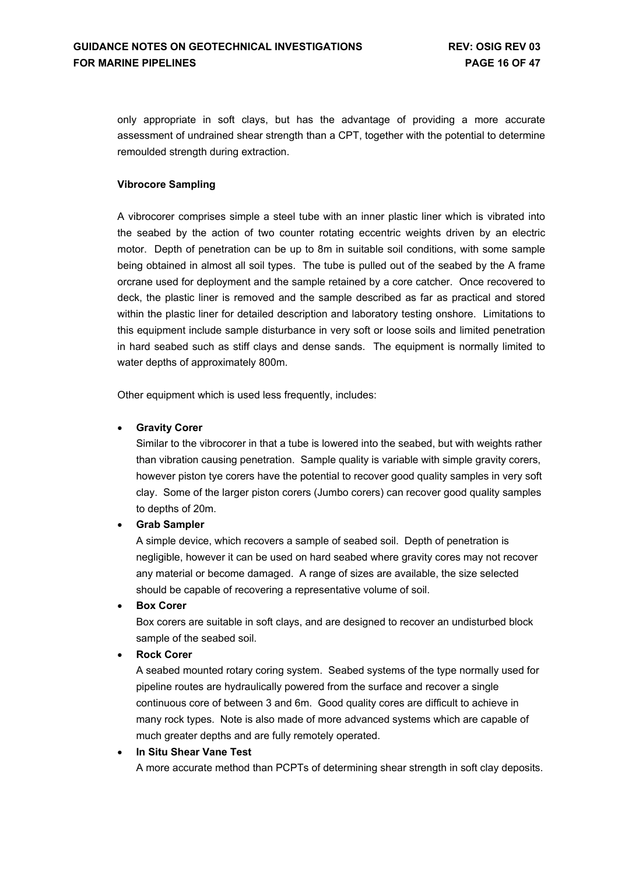only appropriate in soft clays, but has the advantage of providing a more accurate assessment of undrained shear strength than a CPT, together with the potential to determine remoulded strength during extraction.

### **Vibrocore Sampling**

A vibrocorer comprises simple a steel tube with an inner plastic liner which is vibrated into the seabed by the action of two counter rotating eccentric weights driven by an electric motor. Depth of penetration can be up to 8m in suitable soil conditions, with some sample being obtained in almost all soil types. The tube is pulled out of the seabed by the A frame orcrane used for deployment and the sample retained by a core catcher. Once recovered to deck, the plastic liner is removed and the sample described as far as practical and stored within the plastic liner for detailed description and laboratory testing onshore. Limitations to this equipment include sample disturbance in very soft or loose soils and limited penetration in hard seabed such as stiff clays and dense sands. The equipment is normally limited to water depths of approximately 800m.

Other equipment which is used less frequently, includes:

### • **Gravity Corer**

Similar to the vibrocorer in that a tube is lowered into the seabed, but with weights rather than vibration causing penetration. Sample quality is variable with simple gravity corers, however piston tye corers have the potential to recover good quality samples in very soft clay. Some of the larger piston corers (Jumbo corers) can recover good quality samples to depths of 20m.

#### • **Grab Sampler**

A simple device, which recovers a sample of seabed soil. Depth of penetration is negligible, however it can be used on hard seabed where gravity cores may not recover any material or become damaged. A range of sizes are available, the size selected should be capable of recovering a representative volume of soil.

#### • **Box Corer**

Box corers are suitable in soft clays, and are designed to recover an undisturbed block sample of the seabed soil.

### • **Rock Corer**

A seabed mounted rotary coring system. Seabed systems of the type normally used for pipeline routes are hydraulically powered from the surface and recover a single continuous core of between 3 and 6m. Good quality cores are difficult to achieve in many rock types. Note is also made of more advanced systems which are capable of much greater depths and are fully remotely operated.

#### • **In Situ Shear Vane Test**

A more accurate method than PCPTs of determining shear strength in soft clay deposits.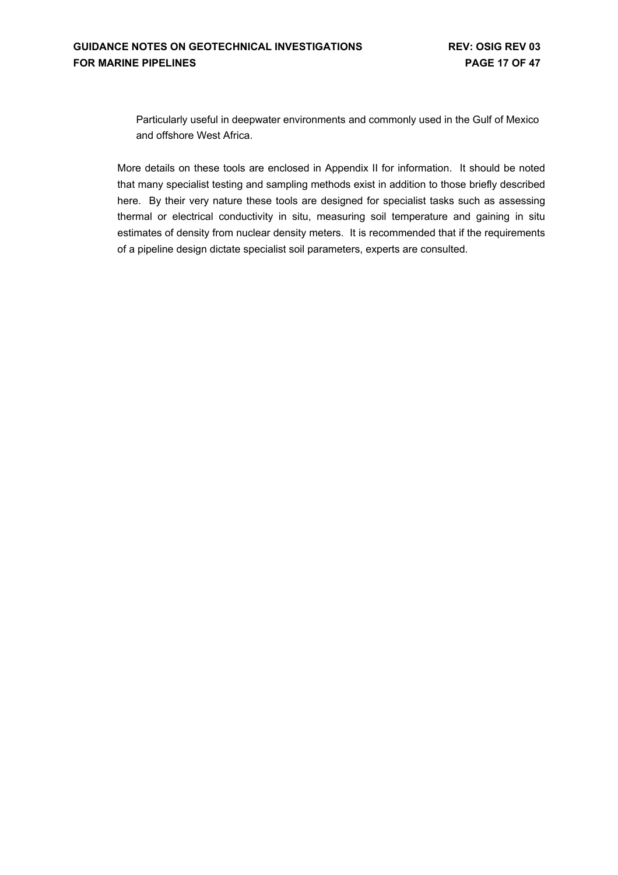Particularly useful in deepwater environments and commonly used in the Gulf of Mexico and offshore West Africa.

More details on these tools are enclosed in Appendix II for information. It should be noted that many specialist testing and sampling methods exist in addition to those briefly described here. By their very nature these tools are designed for specialist tasks such as assessing thermal or electrical conductivity in situ, measuring soil temperature and gaining in situ estimates of density from nuclear density meters. It is recommended that if the requirements of a pipeline design dictate specialist soil parameters, experts are consulted.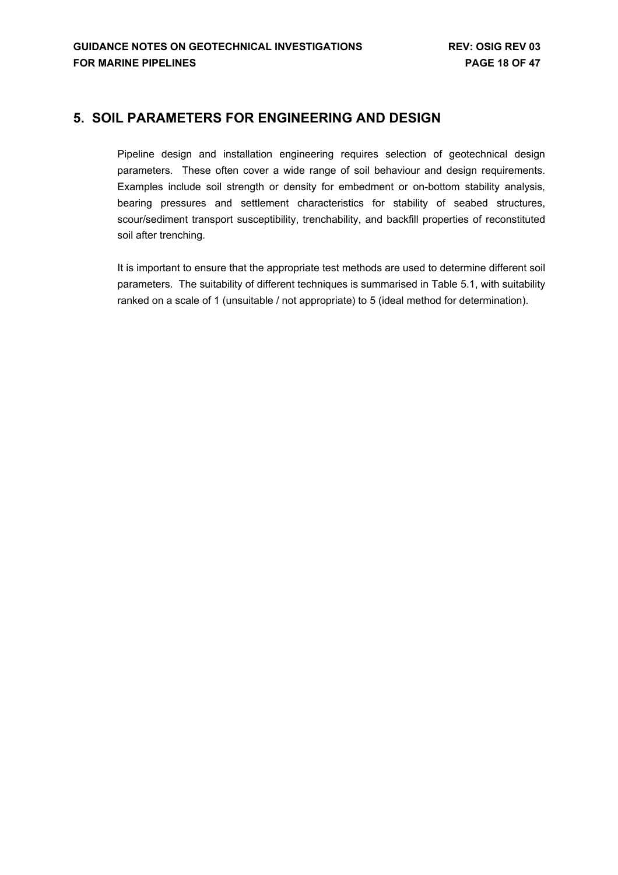## <span id="page-17-0"></span>**5. SOIL PARAMETERS FOR ENGINEERING AND DESIGN**

Pipeline design and installation engineering requires selection of geotechnical design parameters. These often cover a wide range of soil behaviour and design requirements. Examples include soil strength or density for embedment or on-bottom stability analysis, bearing pressures and settlement characteristics for stability of seabed structures, scour/sediment transport susceptibility, trenchability, and backfill properties of reconstituted soil after trenching.

It is important to ensure that the appropriate test methods are used to determine different soil parameters. The suitability of different techniques is summarised in Table 5.1, with suitability ranked on a scale of 1 (unsuitable / not appropriate) to 5 (ideal method for determination).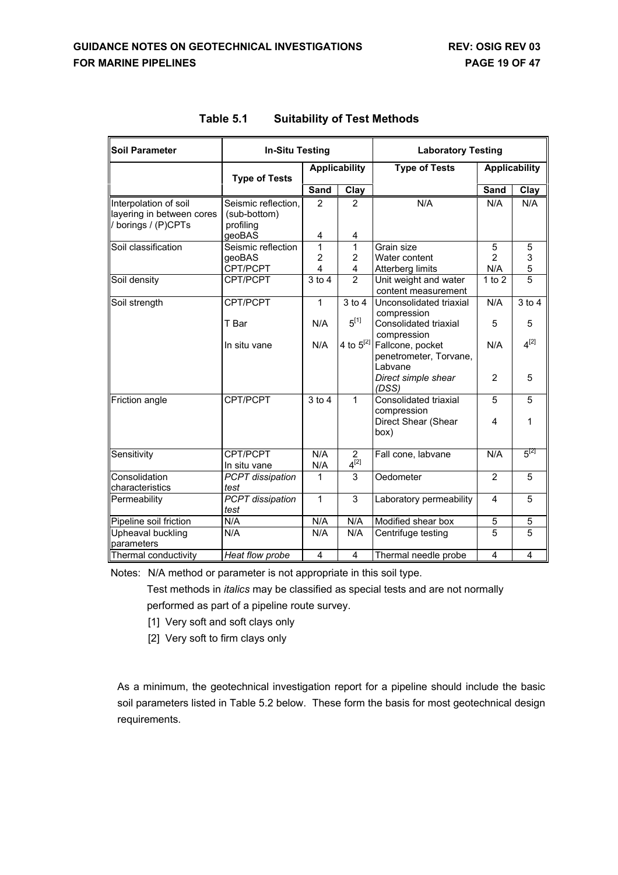| <b>Soil Parameter</b>                                                   | <b>In-Situ Testing</b>                           |             |                          | <b>Laboratory Testing</b>                             |                            |                |  |
|-------------------------------------------------------------------------|--------------------------------------------------|-------------|--------------------------|-------------------------------------------------------|----------------------------|----------------|--|
|                                                                         | <b>Type of Tests</b>                             |             | <b>Applicability</b>     | <b>Type of Tests</b>                                  | <b>Applicability</b>       |                |  |
|                                                                         |                                                  | Sand        | Clay                     |                                                       | <b>Sand</b>                | Clay           |  |
| Interpolation of soil<br>layering in between cores<br>borings / (P)CPTs | Seismic reflection.<br>(sub-bottom)<br>profiling | 2           | $\overline{2}$           | N/A                                                   | N/A                        | N/A            |  |
|                                                                         | geoBAS                                           | 4           | 4                        |                                                       |                            |                |  |
| Soil classification                                                     | Seismic reflection<br>geoBAS<br>CPT/PCPT         | 1<br>2<br>4 | 1<br>$\overline{c}$<br>4 | Grain size<br>Water content<br>Atterberg limits       | 5<br>$\overline{2}$<br>N/A | 5<br>3<br>5    |  |
| Soil density                                                            | CPT/PCPT                                         | $3$ to $4$  | $\overline{2}$           | Unit weight and water<br>content measurement          | $1$ to $2$                 | $\overline{5}$ |  |
| Soil strength                                                           | CPT/PCPT                                         | 1           | $3$ to $4$               | Unconsolidated triaxial<br>compression                | N/A                        | $3$ to $4$     |  |
|                                                                         | T Bar                                            | N/A         | $5^{[1]}$                | Consolidated triaxial<br>compression                  | 5                          | 5              |  |
|                                                                         | In situ vane                                     | N/A         | 4 to $5^{[2]}$           | Fallcone, pocket<br>penetrometer, Torvane,<br>Labvane | N/A                        | $4^{[2]}$      |  |
|                                                                         |                                                  |             |                          | Direct simple shear<br>(DSS)                          | 2                          | 5              |  |
| Friction angle                                                          | CPT/PCPT                                         | $3$ to $4$  | 1                        | Consolidated triaxial<br>compression                  | 5                          | 5              |  |
|                                                                         |                                                  |             |                          | Direct Shear (Shear<br>box)                           | 4                          | 1              |  |
| Sensitivity                                                             | CPT/PCPT<br>In situ vane                         | N/A<br>N/A  | 2<br>$4^{[2]}$           | Fall cone, labvane                                    | N/A                        | $5^{[2]}$      |  |
| Consolidation<br>characteristics                                        | PCPT dissipation<br>test                         | 1           | $\overline{3}$           | Oedometer                                             | $\overline{2}$             | $\overline{5}$ |  |
| Permeability                                                            | PCPT dissipation<br>test                         | 1           | 3                        | Laboratory permeability                               | 4                          | 5              |  |
| Pipeline soil friction                                                  | N/A                                              | N/A         | N/A                      | Modified shear box                                    | 5                          | 5              |  |
| Upheaval buckling<br>parameters                                         | N/A                                              | N/A         | N/A                      | Centrifuge testing                                    | 5                          | 5              |  |
| Thermal conductivity                                                    | Heat flow probe                                  | 4           | 4                        | Thermal needle probe                                  | 4                          | 4              |  |

| Table 5.1 | <b>Suitability of Test Methods</b> |
|-----------|------------------------------------|
|-----------|------------------------------------|

Notes: N/A method or parameter is not appropriate in this soil type.

Test methods in *italics* may be classified as special tests and are not normally performed as part of a pipeline route survey.

- [1] Very soft and soft clays only
- [2] Very soft to firm clays only

As a minimum, the geotechnical investigation report for a pipeline should include the basic soil parameters listed in Table 5.2 below. These form the basis for most geotechnical design requirements.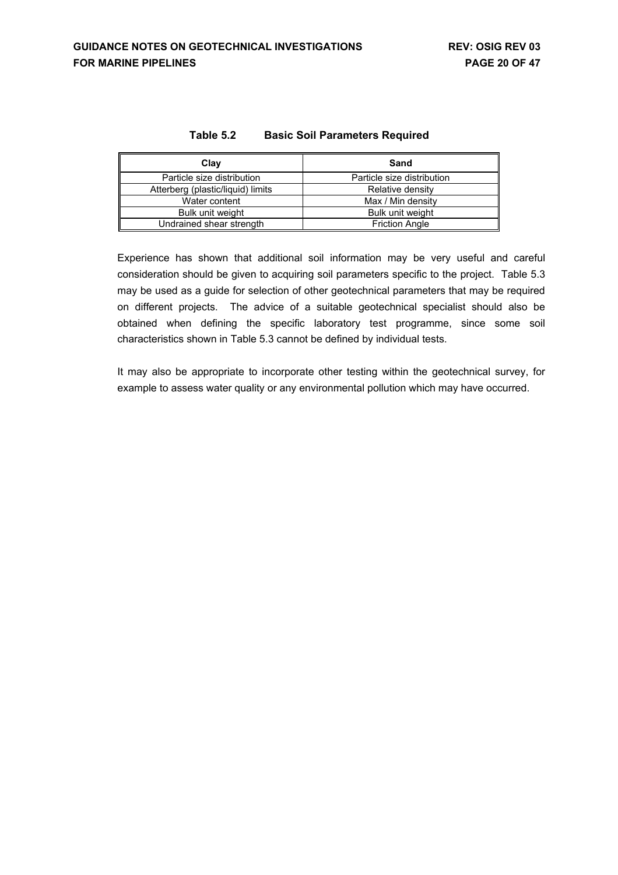| Table 5.2 | <b>Basic Soil Parameters Required</b> |
|-----------|---------------------------------------|
|-----------|---------------------------------------|

| Clay                              | Sand                       |
|-----------------------------------|----------------------------|
| Particle size distribution        | Particle size distribution |
| Atterberg (plastic/liquid) limits | Relative density           |
| Water content                     | Max / Min density          |
| Bulk unit weight                  | Bulk unit weight           |
| Undrained shear strength          | <b>Friction Angle</b>      |

Experience has shown that additional soil information may be very useful and careful consideration should be given to acquiring soil parameters specific to the project. Table 5.3 may be used as a guide for selection of other geotechnical parameters that may be required on different projects. The advice of a suitable geotechnical specialist should also be obtained when defining the specific laboratory test programme, since some soil characteristics shown in Table 5.3 cannot be defined by individual tests.

It may also be appropriate to incorporate other testing within the geotechnical survey, for example to assess water quality or any environmental pollution which may have occurred.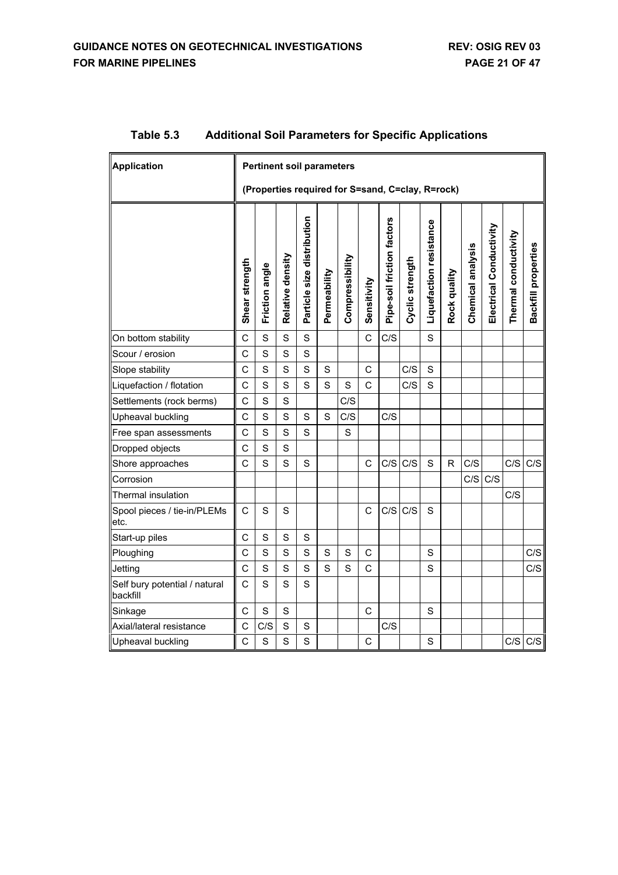| <b>Application</b>                        |                                                  | <b>Pertinent soil parameters</b> |                  |                            |              |                 |                |                            |                 |                         |              |                   |                         |                      |                     |
|-------------------------------------------|--------------------------------------------------|----------------------------------|------------------|----------------------------|--------------|-----------------|----------------|----------------------------|-----------------|-------------------------|--------------|-------------------|-------------------------|----------------------|---------------------|
|                                           | (Properties required for S=sand, C=clay, R=rock) |                                  |                  |                            |              |                 |                |                            |                 |                         |              |                   |                         |                      |                     |
|                                           | Shear strength                                   | Friction angle                   | Relative density | Particle size distribution | Permeability | Compressibility | Sensitivity    | Pipe-soil friction factors | Cyclic strength | Liquefaction resistance | Rock quality | Chemical analysis | Electrical Conductivity | Thermal conductivity | Backfill properties |
| On bottom stability                       | C                                                | S                                | S                | S                          |              |                 | $\mathsf{C}$   | C/S                        |                 | S                       |              |                   |                         |                      |                     |
| Scour / erosion                           | C                                                | S                                | S                | $\mathbf S$                |              |                 |                |                            |                 |                         |              |                   |                         |                      |                     |
| Slope stability                           | C                                                | S                                | S                | $\mathbf S$                | $\mathbf S$  |                 | $\mathsf C$    |                            | C/S             | $\mathbf S$             |              |                   |                         |                      |                     |
| Liquefaction / flotation                  | Ċ                                                | S                                | S                | S                          | S            | S               | $\overline{C}$ |                            | C/S             | S                       |              |                   |                         |                      |                     |
| Settlements (rock berms)                  | C                                                | S                                | S                |                            |              | C/S             |                |                            |                 |                         |              |                   |                         |                      |                     |
| Upheaval buckling                         | C                                                | S                                | S                | S                          | S            | C/S             |                | C/S                        |                 |                         |              |                   |                         |                      |                     |
| Free span assessments                     | С                                                | S                                | $\mathbf S$      | S                          |              | S               |                |                            |                 |                         |              |                   |                         |                      |                     |
| Dropped objects                           | C                                                | S                                | $\mathbf S$      |                            |              |                 |                |                            |                 |                         |              |                   |                         |                      |                     |
| Shore approaches                          | C                                                | S                                | S                | S                          |              |                 | C              | C/S                        | C/S             | S                       | $\mathsf{R}$ | C/S               |                         | C/S                  | C/S                 |
| Corrosion                                 |                                                  |                                  |                  |                            |              |                 |                |                            |                 |                         |              |                   | C/S C/S                 |                      |                     |
| Thermal insulation                        |                                                  |                                  |                  |                            |              |                 |                |                            |                 |                         |              |                   |                         | C/S                  |                     |
| Spool pieces / tie-in/PLEMs<br>etc.       | C                                                | S                                | S                |                            |              |                 | C              | C/S                        | C/S             | S                       |              |                   |                         |                      |                     |
| Start-up piles                            | C                                                | S                                | S                | $\mathbf S$                |              |                 |                |                            |                 |                         |              |                   |                         |                      |                     |
| Ploughing                                 | $\mathsf{C}$                                     | S                                | S                | S                          | S            | S               | C              |                            |                 | S                       |              |                   |                         |                      | C/S                 |
| Jetting                                   | C                                                | S                                | $\mathbf S$      | S                          | S            | S               | C              |                            |                 | S                       |              |                   |                         |                      | C/S                 |
| Self bury potential / natural<br>backfill | C                                                | S                                | S                | S                          |              |                 |                |                            |                 |                         |              |                   |                         |                      |                     |
| Sinkage                                   | C                                                | $\mathbf S$                      | S                |                            |              |                 | C              |                            |                 | S                       |              |                   |                         |                      |                     |
| Axial/lateral resistance                  | C                                                | C/S                              | S                | S                          |              |                 |                | C/S                        |                 |                         |              |                   |                         |                      |                     |
| Upheaval buckling                         | C                                                | S                                | S                | S                          |              |                 | C              |                            |                 | S                       |              |                   |                         | C/S                  | C/S                 |

# **Table 5.3 Additional Soil Parameters for Specific Applications**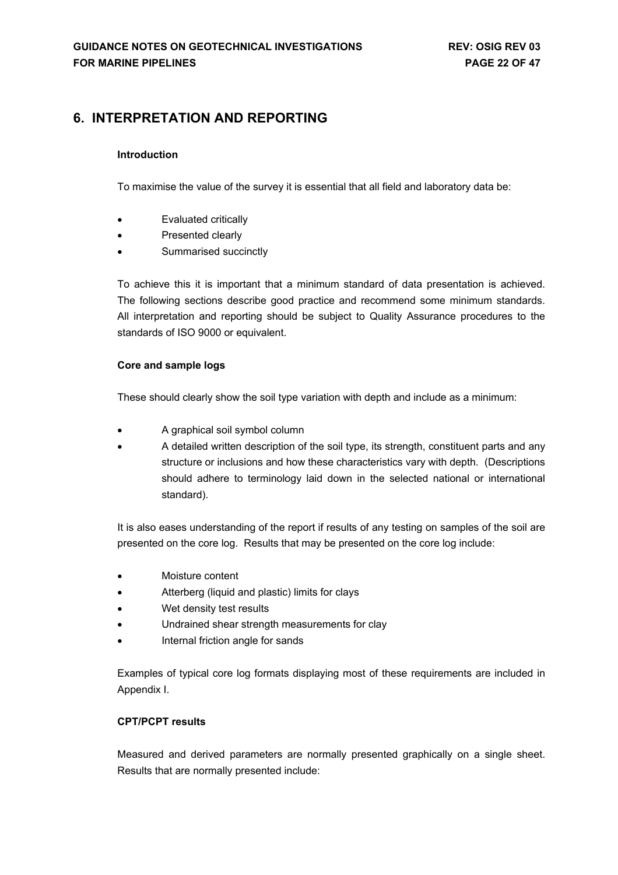# <span id="page-21-0"></span>**6. INTERPRETATION AND REPORTING**

### **Introduction**

To maximise the value of the survey it is essential that all field and laboratory data be:

- Evaluated critically
- Presented clearly
- Summarised succinctly

To achieve this it is important that a minimum standard of data presentation is achieved. The following sections describe good practice and recommend some minimum standards. All interpretation and reporting should be subject to Quality Assurance procedures to the standards of ISO 9000 or equivalent.

### **Core and sample logs**

These should clearly show the soil type variation with depth and include as a minimum:

- A graphical soil symbol column
- A detailed written description of the soil type, its strength, constituent parts and any structure or inclusions and how these characteristics vary with depth. (Descriptions should adhere to terminology laid down in the selected national or international standard).

It is also eases understanding of the report if results of any testing on samples of the soil are presented on the core log. Results that may be presented on the core log include:

- Moisture content
- Atterberg (liquid and plastic) limits for clays
- Wet density test results
- Undrained shear strength measurements for clay
- Internal friction angle for sands

Examples of typical core log formats displaying most of these requirements are included in Appendix I.

### **CPT/PCPT results**

Measured and derived parameters are normally presented graphically on a single sheet. Results that are normally presented include: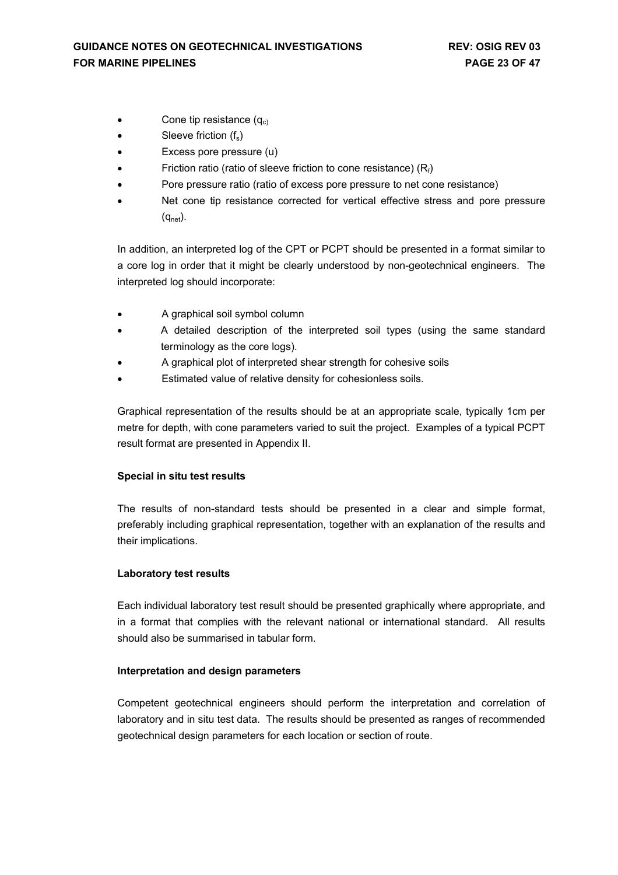- Cone tip resistance  $(q_c)$
- $\bullet$  Sleeve friction  $(f_s)$
- Excess pore pressure (u)
- Friction ratio (ratio of sleeve friction to cone resistance)  $(R_f)$
- Pore pressure ratio (ratio of excess pore pressure to net cone resistance)
- Net cone tip resistance corrected for vertical effective stress and pore pressure  $(q_{net})$ .

In addition, an interpreted log of the CPT or PCPT should be presented in a format similar to a core log in order that it might be clearly understood by non-geotechnical engineers. The interpreted log should incorporate:

- A graphical soil symbol column
- A detailed description of the interpreted soil types (using the same standard terminology as the core logs).
- A graphical plot of interpreted shear strength for cohesive soils
- Estimated value of relative density for cohesionless soils.

Graphical representation of the results should be at an appropriate scale, typically 1cm per metre for depth, with cone parameters varied to suit the project. Examples of a typical PCPT result format are presented in Appendix II.

### **Special in situ test results**

The results of non-standard tests should be presented in a clear and simple format, preferably including graphical representation, together with an explanation of the results and their implications.

### **Laboratory test results**

Each individual laboratory test result should be presented graphically where appropriate, and in a format that complies with the relevant national or international standard. All results should also be summarised in tabular form.

### **Interpretation and design parameters**

Competent geotechnical engineers should perform the interpretation and correlation of laboratory and in situ test data. The results should be presented as ranges of recommended geotechnical design parameters for each location or section of route.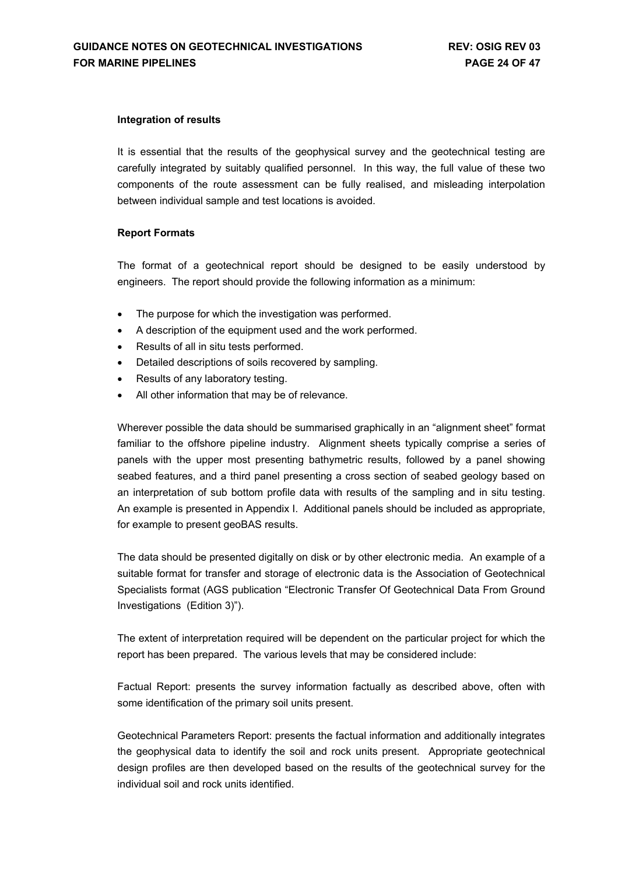#### **Integration of results**

It is essential that the results of the geophysical survey and the geotechnical testing are carefully integrated by suitably qualified personnel. In this way, the full value of these two components of the route assessment can be fully realised, and misleading interpolation between individual sample and test locations is avoided.

### **Report Formats**

The format of a geotechnical report should be designed to be easily understood by engineers. The report should provide the following information as a minimum:

- The purpose for which the investigation was performed.
- A description of the equipment used and the work performed.
- Results of all in situ tests performed.
- Detailed descriptions of soils recovered by sampling.
- Results of any laboratory testing.
- All other information that may be of relevance.

Wherever possible the data should be summarised graphically in an "alignment sheet" format familiar to the offshore pipeline industry. Alignment sheets typically comprise a series of panels with the upper most presenting bathymetric results, followed by a panel showing seabed features, and a third panel presenting a cross section of seabed geology based on an interpretation of sub bottom profile data with results of the sampling and in situ testing. An example is presented in Appendix I. Additional panels should be included as appropriate, for example to present geoBAS results.

The data should be presented digitally on disk or by other electronic media. An example of a suitable format for transfer and storage of electronic data is the Association of Geotechnical Specialists format (AGS publication "Electronic Transfer Of Geotechnical Data From Ground Investigations (Edition 3)").

The extent of interpretation required will be dependent on the particular project for which the report has been prepared. The various levels that may be considered include:

Factual Report: presents the survey information factually as described above, often with some identification of the primary soil units present.

Geotechnical Parameters Report: presents the factual information and additionally integrates the geophysical data to identify the soil and rock units present. Appropriate geotechnical design profiles are then developed based on the results of the geotechnical survey for the individual soil and rock units identified.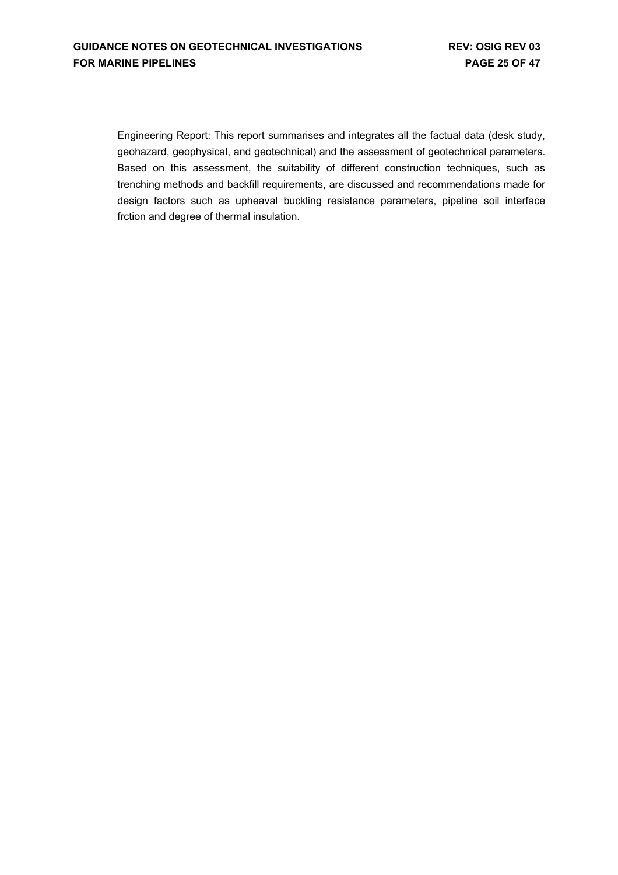Engineering Report: This report summarises and integrates all the factual data (desk study, geohazard, geophysical, and geotechnical) and the assessment of geotechnical parameters. Based on this assessment, the suitability of different construction techniques, such as trenching methods and backfill requirements, are discussed and recommendations made for design factors such as upheaval buckling resistance parameters, pipeline soil interface frction and degree of thermal insulation.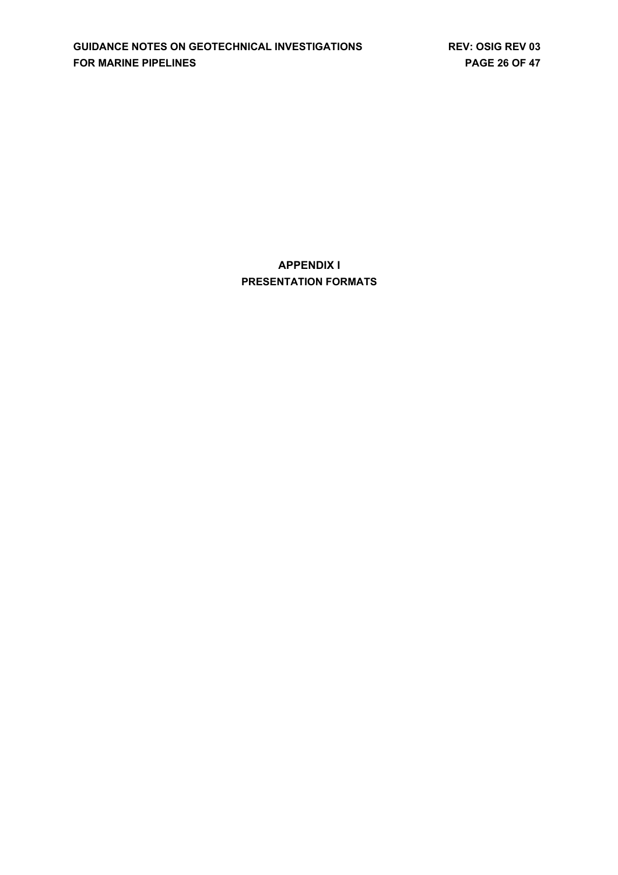**APPENDIX I PRESENTATION FORMATS**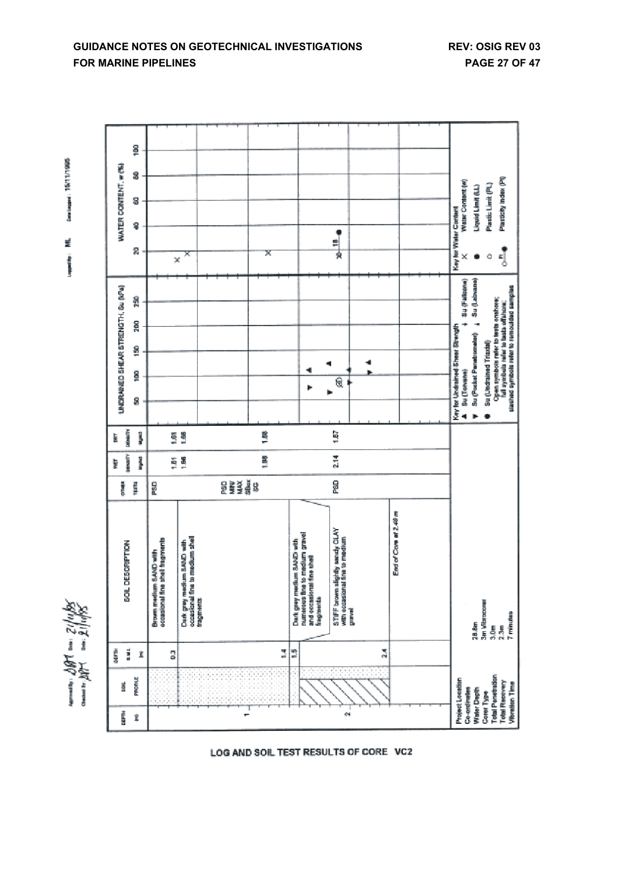nomens: 1987 cm: 21/14/9.<br>Omner: 21/14/9.

Dentaged: 15/11/1995

ź

Company of



LOG AND SOIL TEST RESULTS OF CORE VC2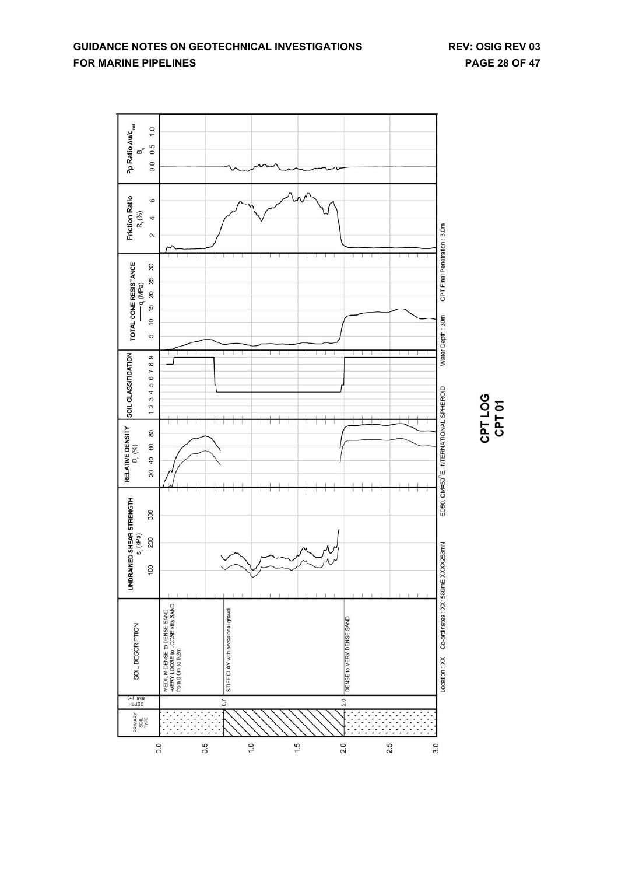

CPT LOG<br>CPT 01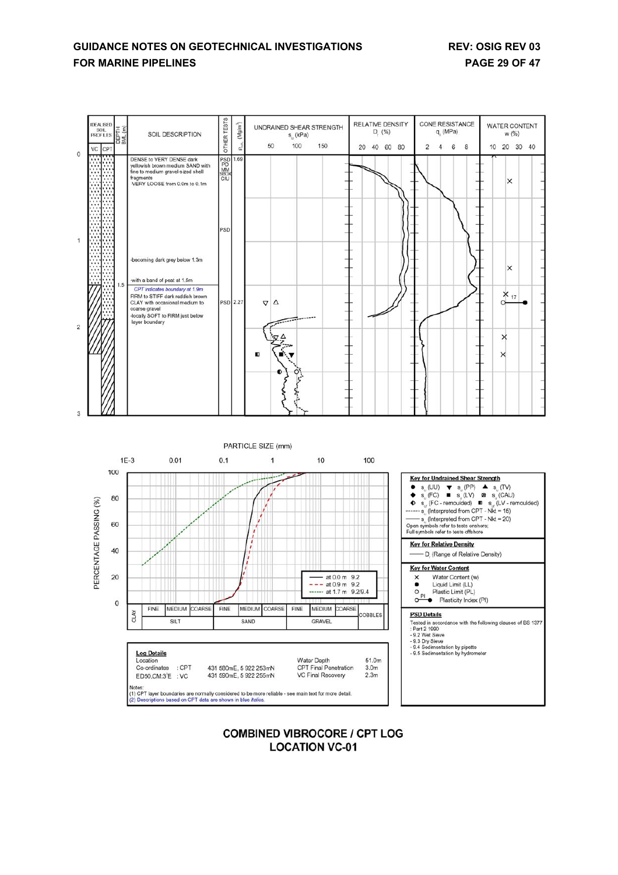## **GUIDANCE NOTES ON GEOTECHNICAL INVESTIGATIONS REV: OSIG REV 03 FOR MARINE PIPELINES PAGE 29 OF 47**





### **COMBINED VIBROCORE / CPT LOG LOCATION VC-01**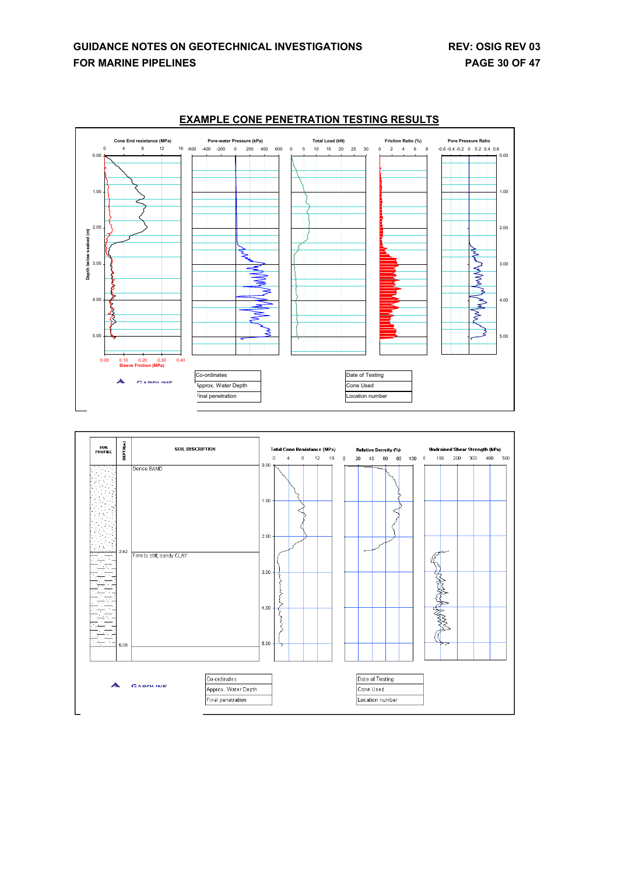



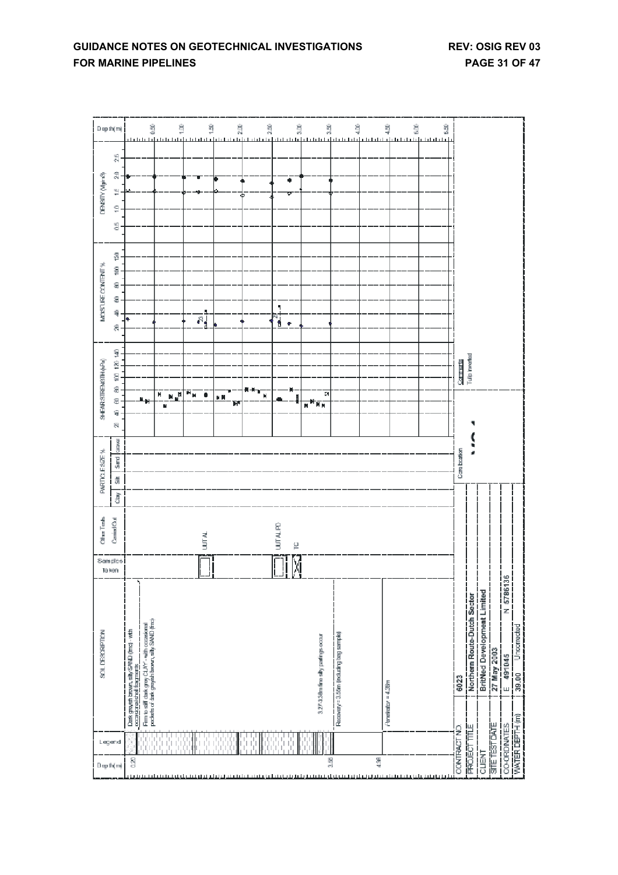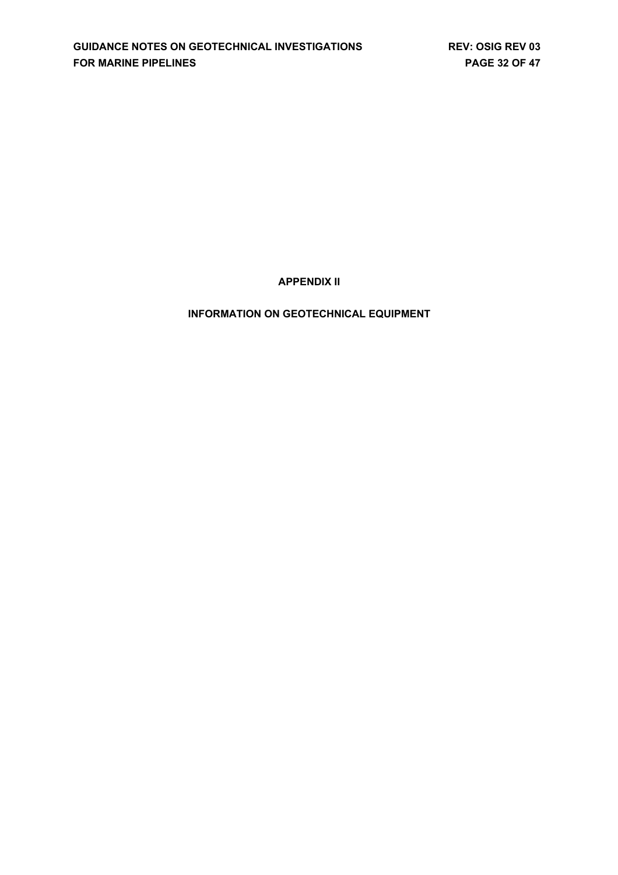**APPENDIX II**

**INFORMATION ON GEOTECHNICAL EQUIPMENT**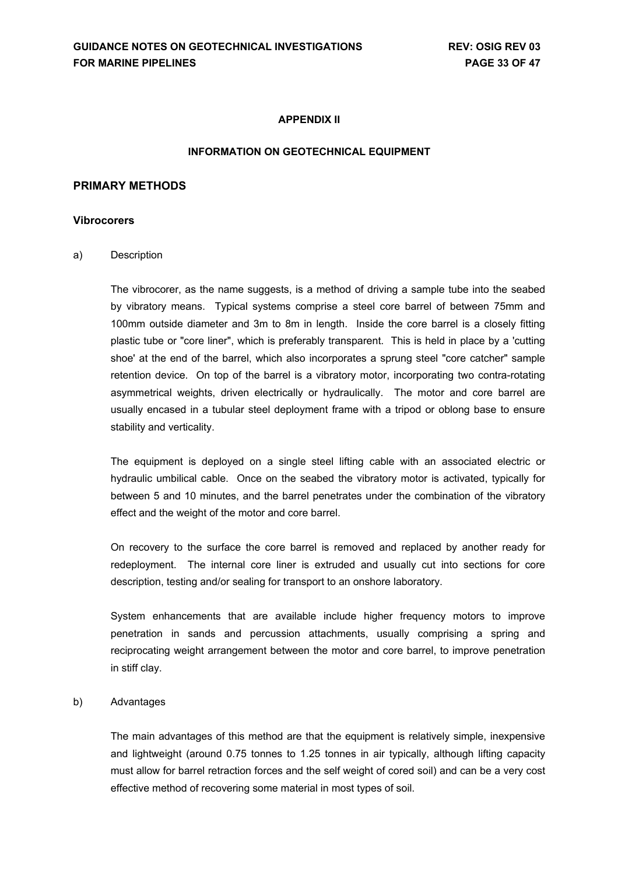### **APPENDIX II**

#### **INFORMATION ON GEOTECHNICAL EQUIPMENT**

#### **PRIMARY METHODS**

#### **Vibrocorers**

a) Description

The vibrocorer, as the name suggests, is a method of driving a sample tube into the seabed by vibratory means. Typical systems comprise a steel core barrel of between 75mm and 100mm outside diameter and 3m to 8m in length. Inside the core barrel is a closely fitting plastic tube or "core liner", which is preferably transparent. This is held in place by a 'cutting shoe' at the end of the barrel, which also incorporates a sprung steel "core catcher" sample retention device. On top of the barrel is a vibratory motor, incorporating two contra-rotating asymmetrical weights, driven electrically or hydraulically. The motor and core barrel are usually encased in a tubular steel deployment frame with a tripod or oblong base to ensure stability and verticality.

The equipment is deployed on a single steel lifting cable with an associated electric or hydraulic umbilical cable. Once on the seabed the vibratory motor is activated, typically for between 5 and 10 minutes, and the barrel penetrates under the combination of the vibratory effect and the weight of the motor and core barrel.

On recovery to the surface the core barrel is removed and replaced by another ready for redeployment. The internal core liner is extruded and usually cut into sections for core description, testing and/or sealing for transport to an onshore laboratory.

System enhancements that are available include higher frequency motors to improve penetration in sands and percussion attachments, usually comprising a spring and reciprocating weight arrangement between the motor and core barrel, to improve penetration in stiff clay.

#### b) Advantages

The main advantages of this method are that the equipment is relatively simple, inexpensive and lightweight (around 0.75 tonnes to 1.25 tonnes in air typically, although lifting capacity must allow for barrel retraction forces and the self weight of cored soil) and can be a very cost effective method of recovering some material in most types of soil.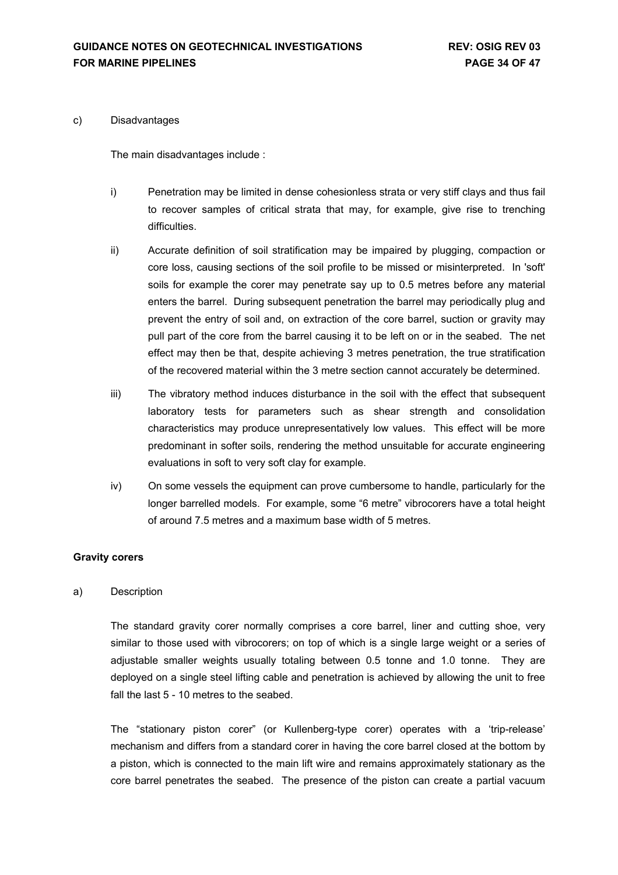#### c) Disadvantages

The main disadvantages include :

- i) Penetration may be limited in dense cohesionless strata or very stiff clays and thus fail to recover samples of critical strata that may, for example, give rise to trenching difficulties.
- ii) Accurate definition of soil stratification may be impaired by plugging, compaction or core loss, causing sections of the soil profile to be missed or misinterpreted. In 'soft' soils for example the corer may penetrate say up to 0.5 metres before any material enters the barrel. During subsequent penetration the barrel may periodically plug and prevent the entry of soil and, on extraction of the core barrel, suction or gravity may pull part of the core from the barrel causing it to be left on or in the seabed. The net effect may then be that, despite achieving 3 metres penetration, the true stratification of the recovered material within the 3 metre section cannot accurately be determined.
- iii) The vibratory method induces disturbance in the soil with the effect that subsequent laboratory tests for parameters such as shear strength and consolidation characteristics may produce unrepresentatively low values. This effect will be more predominant in softer soils, rendering the method unsuitable for accurate engineering evaluations in soft to very soft clay for example.
- iv) On some vessels the equipment can prove cumbersome to handle, particularly for the longer barrelled models. For example, some "6 metre" vibrocorers have a total height of around 7.5 metres and a maximum base width of 5 metres.

#### **Gravity corers**

#### a) Description

The standard gravity corer normally comprises a core barrel, liner and cutting shoe, very similar to those used with vibrocorers; on top of which is a single large weight or a series of adjustable smaller weights usually totaling between 0.5 tonne and 1.0 tonne. They are deployed on a single steel lifting cable and penetration is achieved by allowing the unit to free fall the last 5 - 10 metres to the seabed.

The "stationary piston corer" (or Kullenberg-type corer) operates with a 'trip-release' mechanism and differs from a standard corer in having the core barrel closed at the bottom by a piston, which is connected to the main lift wire and remains approximately stationary as the core barrel penetrates the seabed. The presence of the piston can create a partial vacuum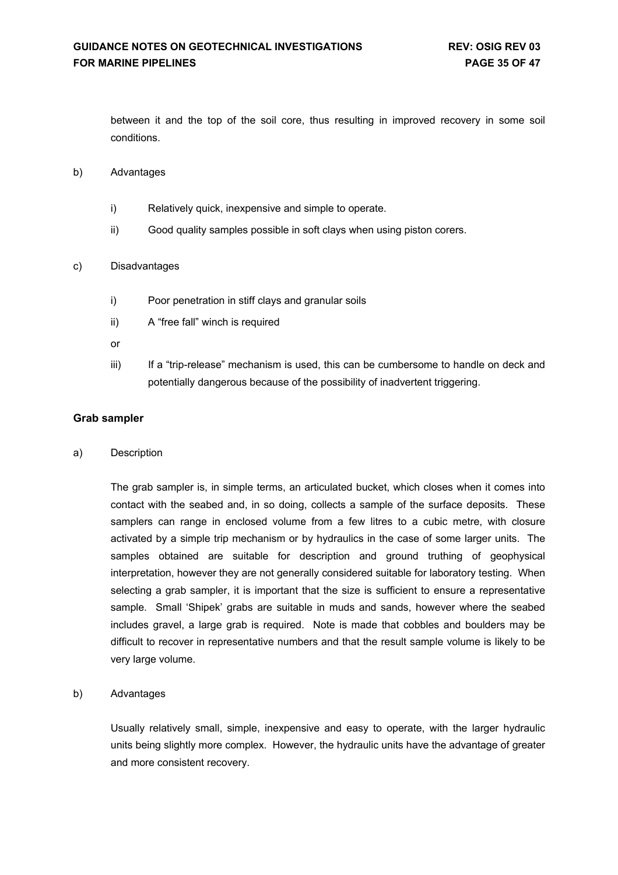between it and the top of the soil core, thus resulting in improved recovery in some soil conditions.

#### b) Advantages

- i) Relatively quick, inexpensive and simple to operate.
- ii) Good quality samples possible in soft clays when using piston corers.

#### c) Disadvantages

- i) Poor penetration in stiff clays and granular soils
- ii) A "free fall" winch is required
- or
- iii) If a "trip-release" mechanism is used, this can be cumbersome to handle on deck and potentially dangerous because of the possibility of inadvertent triggering.

### **Grab sampler**

a) Description

The grab sampler is, in simple terms, an articulated bucket, which closes when it comes into contact with the seabed and, in so doing, collects a sample of the surface deposits. These samplers can range in enclosed volume from a few litres to a cubic metre, with closure activated by a simple trip mechanism or by hydraulics in the case of some larger units. The samples obtained are suitable for description and ground truthing of geophysical interpretation, however they are not generally considered suitable for laboratory testing. When selecting a grab sampler, it is important that the size is sufficient to ensure a representative sample. Small 'Shipek' grabs are suitable in muds and sands, however where the seabed includes gravel, a large grab is required. Note is made that cobbles and boulders may be difficult to recover in representative numbers and that the result sample volume is likely to be very large volume.

#### b) Advantages

Usually relatively small, simple, inexpensive and easy to operate, with the larger hydraulic units being slightly more complex. However, the hydraulic units have the advantage of greater and more consistent recovery.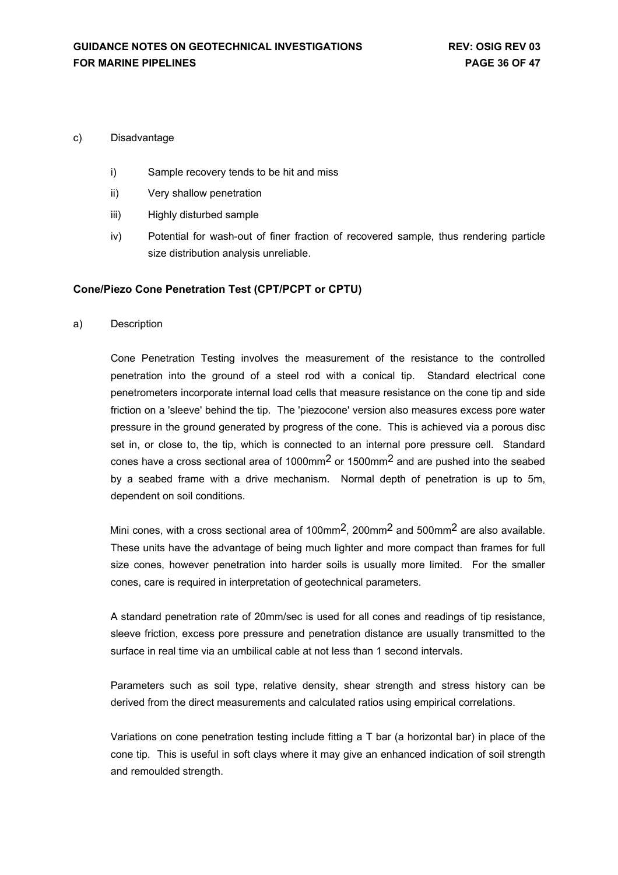#### c) Disadvantage

- i) Sample recovery tends to be hit and miss
- ii) Very shallow penetration
- iii) Highly disturbed sample
- iv) Potential for wash-out of finer fraction of recovered sample, thus rendering particle size distribution analysis unreliable.

### **Cone/Piezo Cone Penetration Test (CPT/PCPT or CPTU)**

a) Description

Cone Penetration Testing involves the measurement of the resistance to the controlled penetration into the ground of a steel rod with a conical tip. Standard electrical cone penetrometers incorporate internal load cells that measure resistance on the cone tip and side friction on a 'sleeve' behind the tip. The 'piezocone' version also measures excess pore water pressure in the ground generated by progress of the cone. This is achieved via a porous disc set in, or close to, the tip, which is connected to an internal pore pressure cell. Standard cones have a cross sectional area of 1000mm2 or 1500mm2 and are pushed into the seabed by a seabed frame with a drive mechanism. Normal depth of penetration is up to 5m, dependent on soil conditions.

Mini cones, with a cross sectional area of 100mm<sup>2</sup>, 200mm<sup>2</sup> and 500mm<sup>2</sup> are also available. These units have the advantage of being much lighter and more compact than frames for full size cones, however penetration into harder soils is usually more limited. For the smaller cones, care is required in interpretation of geotechnical parameters.

A standard penetration rate of 20mm/sec is used for all cones and readings of tip resistance, sleeve friction, excess pore pressure and penetration distance are usually transmitted to the surface in real time via an umbilical cable at not less than 1 second intervals.

Parameters such as soil type, relative density, shear strength and stress history can be derived from the direct measurements and calculated ratios using empirical correlations.

Variations on cone penetration testing include fitting a T bar (a horizontal bar) in place of the cone tip. This is useful in soft clays where it may give an enhanced indication of soil strength and remoulded strength.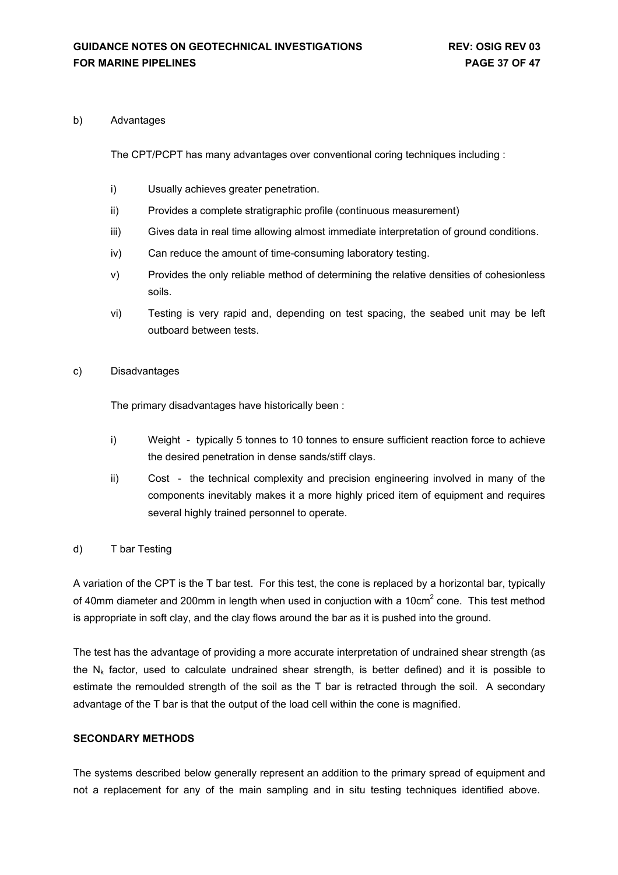#### b) Advantages

The CPT/PCPT has many advantages over conventional coring techniques including :

- i) Usually achieves greater penetration.
- ii) Provides a complete stratigraphic profile (continuous measurement)
- iii) Gives data in real time allowing almost immediate interpretation of ground conditions.
- iv) Can reduce the amount of time-consuming laboratory testing.
- v) Provides the only reliable method of determining the relative densities of cohesionless soils.
- vi) Testing is very rapid and, depending on test spacing, the seabed unit may be left outboard between tests.

### c) Disadvantages

The primary disadvantages have historically been :

- i) Weight typically 5 tonnes to 10 tonnes to ensure sufficient reaction force to achieve the desired penetration in dense sands/stiff clays.
- ii) Cost the technical complexity and precision engineering involved in many of the components inevitably makes it a more highly priced item of equipment and requires several highly trained personnel to operate.

### d) T bar Testing

A variation of the CPT is the T bar test. For this test, the cone is replaced by a horizontal bar, typically of 40mm diameter and 200mm in length when used in conjuction with a 10cm<sup>2</sup> cone. This test method is appropriate in soft clay, and the clay flows around the bar as it is pushed into the ground.

The test has the advantage of providing a more accurate interpretation of undrained shear strength (as the  $N_k$  factor, used to calculate undrained shear strength, is better defined) and it is possible to estimate the remoulded strength of the soil as the T bar is retracted through the soil. A secondary advantage of the T bar is that the output of the load cell within the cone is magnified.

#### **SECONDARY METHODS**

The systems described below generally represent an addition to the primary spread of equipment and not a replacement for any of the main sampling and in situ testing techniques identified above.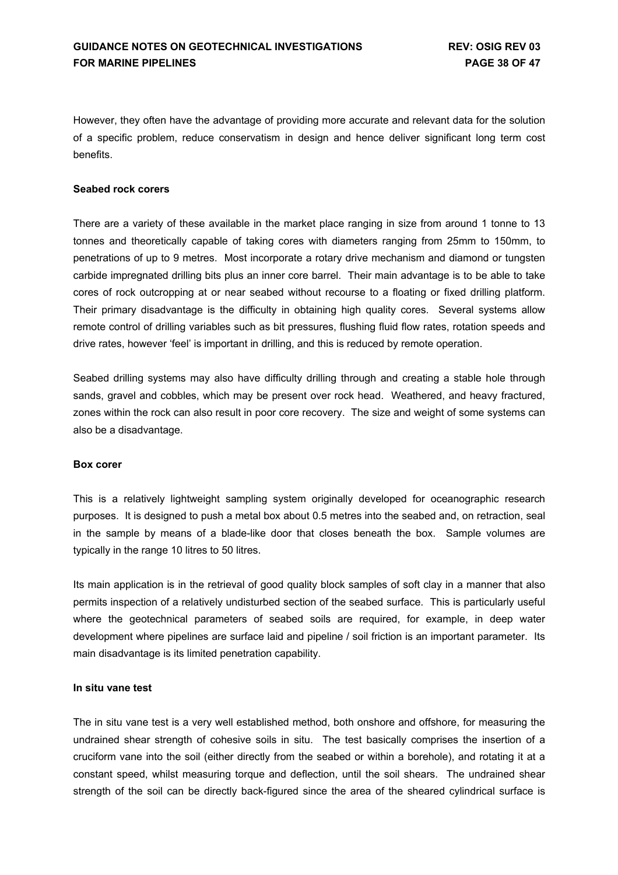However, they often have the advantage of providing more accurate and relevant data for the solution of a specific problem, reduce conservatism in design and hence deliver significant long term cost benefits.

### **Seabed rock corers**

There are a variety of these available in the market place ranging in size from around 1 tonne to 13 tonnes and theoretically capable of taking cores with diameters ranging from 25mm to 150mm, to penetrations of up to 9 metres. Most incorporate a rotary drive mechanism and diamond or tungsten carbide impregnated drilling bits plus an inner core barrel. Their main advantage is to be able to take cores of rock outcropping at or near seabed without recourse to a floating or fixed drilling platform. Their primary disadvantage is the difficulty in obtaining high quality cores. Several systems allow remote control of drilling variables such as bit pressures, flushing fluid flow rates, rotation speeds and drive rates, however 'feel' is important in drilling, and this is reduced by remote operation.

Seabed drilling systems may also have difficulty drilling through and creating a stable hole through sands, gravel and cobbles, which may be present over rock head. Weathered, and heavy fractured, zones within the rock can also result in poor core recovery. The size and weight of some systems can also be a disadvantage.

#### **Box corer**

This is a relatively lightweight sampling system originally developed for oceanographic research purposes. It is designed to push a metal box about 0.5 metres into the seabed and, on retraction, seal in the sample by means of a blade-like door that closes beneath the box. Sample volumes are typically in the range 10 litres to 50 litres.

Its main application is in the retrieval of good quality block samples of soft clay in a manner that also permits inspection of a relatively undisturbed section of the seabed surface. This is particularly useful where the geotechnical parameters of seabed soils are required, for example, in deep water development where pipelines are surface laid and pipeline / soil friction is an important parameter. Its main disadvantage is its limited penetration capability.

#### **In situ vane test**

The in situ vane test is a very well established method, both onshore and offshore, for measuring the undrained shear strength of cohesive soils in situ. The test basically comprises the insertion of a cruciform vane into the soil (either directly from the seabed or within a borehole), and rotating it at a constant speed, whilst measuring torque and deflection, until the soil shears. The undrained shear strength of the soil can be directly back-figured since the area of the sheared cylindrical surface is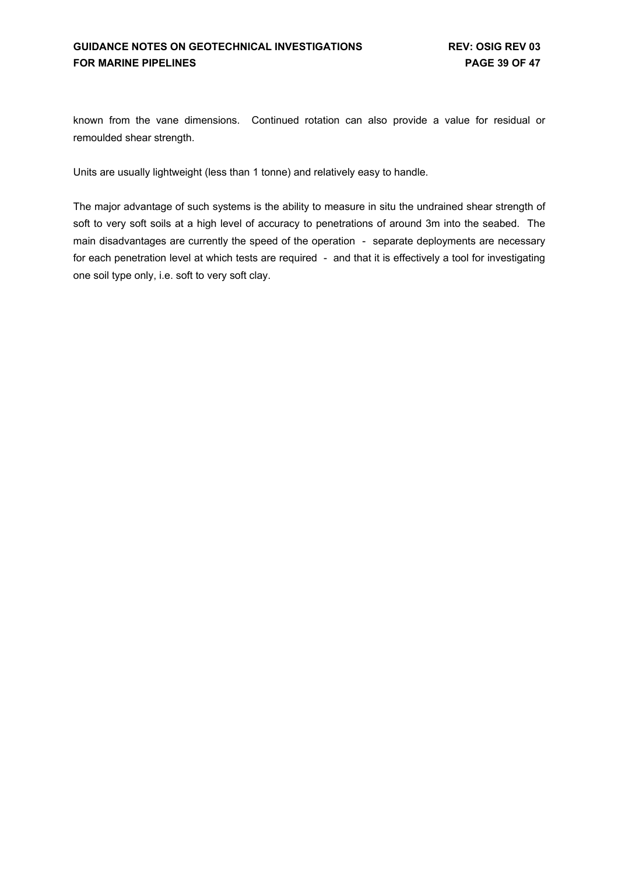known from the vane dimensions. Continued rotation can also provide a value for residual or remoulded shear strength.

Units are usually lightweight (less than 1 tonne) and relatively easy to handle.

The major advantage of such systems is the ability to measure in situ the undrained shear strength of soft to very soft soils at a high level of accuracy to penetrations of around 3m into the seabed. The main disadvantages are currently the speed of the operation - separate deployments are necessary for each penetration level at which tests are required - and that it is effectively a tool for investigating one soil type only, i.e. soft to very soft clay.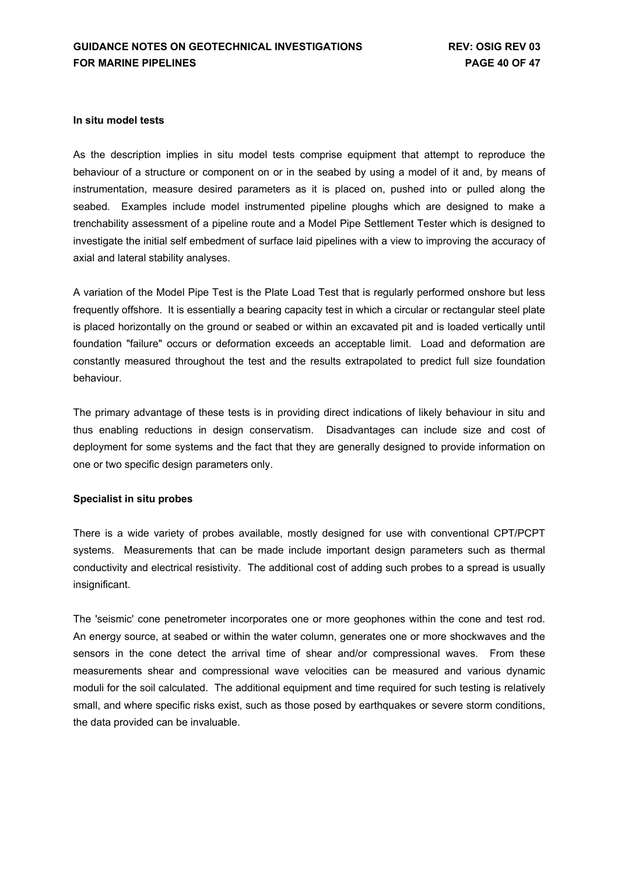### **In situ model tests**

As the description implies in situ model tests comprise equipment that attempt to reproduce the behaviour of a structure or component on or in the seabed by using a model of it and, by means of instrumentation, measure desired parameters as it is placed on, pushed into or pulled along the seabed. Examples include model instrumented pipeline ploughs which are designed to make a trenchability assessment of a pipeline route and a Model Pipe Settlement Tester which is designed to investigate the initial self embedment of surface laid pipelines with a view to improving the accuracy of axial and lateral stability analyses.

A variation of the Model Pipe Test is the Plate Load Test that is regularly performed onshore but less frequently offshore. It is essentially a bearing capacity test in which a circular or rectangular steel plate is placed horizontally on the ground or seabed or within an excavated pit and is loaded vertically until foundation "failure" occurs or deformation exceeds an acceptable limit. Load and deformation are constantly measured throughout the test and the results extrapolated to predict full size foundation behaviour.

The primary advantage of these tests is in providing direct indications of likely behaviour in situ and thus enabling reductions in design conservatism. Disadvantages can include size and cost of deployment for some systems and the fact that they are generally designed to provide information on one or two specific design parameters only.

#### **Specialist in situ probes**

There is a wide variety of probes available, mostly designed for use with conventional CPT/PCPT systems. Measurements that can be made include important design parameters such as thermal conductivity and electrical resistivity. The additional cost of adding such probes to a spread is usually insignificant.

The 'seismic' cone penetrometer incorporates one or more geophones within the cone and test rod. An energy source, at seabed or within the water column, generates one or more shockwaves and the sensors in the cone detect the arrival time of shear and/or compressional waves. From these measurements shear and compressional wave velocities can be measured and various dynamic moduli for the soil calculated. The additional equipment and time required for such testing is relatively small, and where specific risks exist, such as those posed by earthquakes or severe storm conditions, the data provided can be invaluable.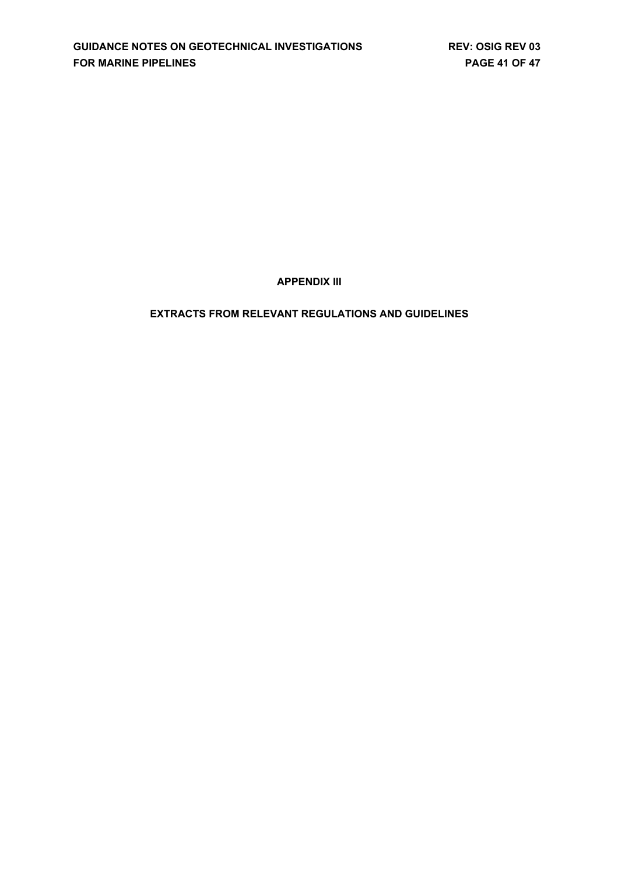**APPENDIX III**

## **EXTRACTS FROM RELEVANT REGULATIONS AND GUIDELINES**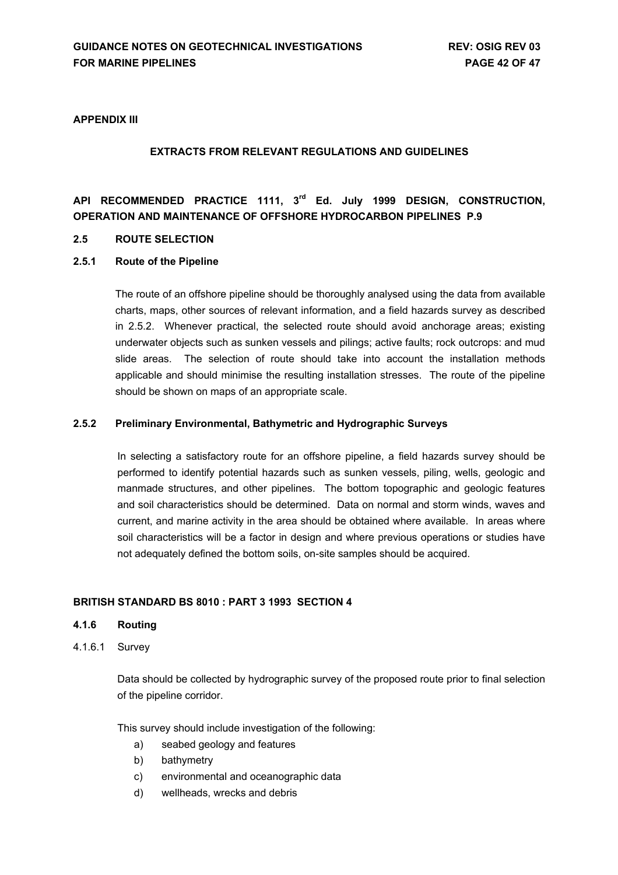### **APPENDIX III**

### **EXTRACTS FROM RELEVANT REGULATIONS AND GUIDELINES**

## **API RECOMMENDED PRACTICE 1111, 3rd Ed. July 1999 DESIGN, CONSTRUCTION, OPERATION AND MAINTENANCE OF OFFSHORE HYDROCARBON PIPELINES P.9**

### **2.5 ROUTE SELECTION**

#### **2.5.1 Route of the Pipeline**

The route of an offshore pipeline should be thoroughly analysed using the data from available charts, maps, other sources of relevant information, and a field hazards survey as described in 2.5.2. Whenever practical, the selected route should avoid anchorage areas; existing underwater objects such as sunken vessels and pilings; active faults; rock outcrops: and mud slide areas. The selection of route should take into account the installation methods applicable and should minimise the resulting installation stresses. The route of the pipeline should be shown on maps of an appropriate scale.

#### **2.5.2 Preliminary Environmental, Bathymetric and Hydrographic Surveys**

In selecting a satisfactory route for an offshore pipeline, a field hazards survey should be performed to identify potential hazards such as sunken vessels, piling, wells, geologic and manmade structures, and other pipelines. The bottom topographic and geologic features and soil characteristics should be determined. Data on normal and storm winds, waves and current, and marine activity in the area should be obtained where available. In areas where soil characteristics will be a factor in design and where previous operations or studies have not adequately defined the bottom soils, on-site samples should be acquired.

### **BRITISH STANDARD BS 8010 : PART 3 1993 SECTION 4**

### **4.1.6 Routing**

4.1.6.1 Survey

Data should be collected by hydrographic survey of the proposed route prior to final selection of the pipeline corridor.

This survey should include investigation of the following:

- a) seabed geology and features
- b) bathymetry
- c) environmental and oceanographic data
- d) wellheads, wrecks and debris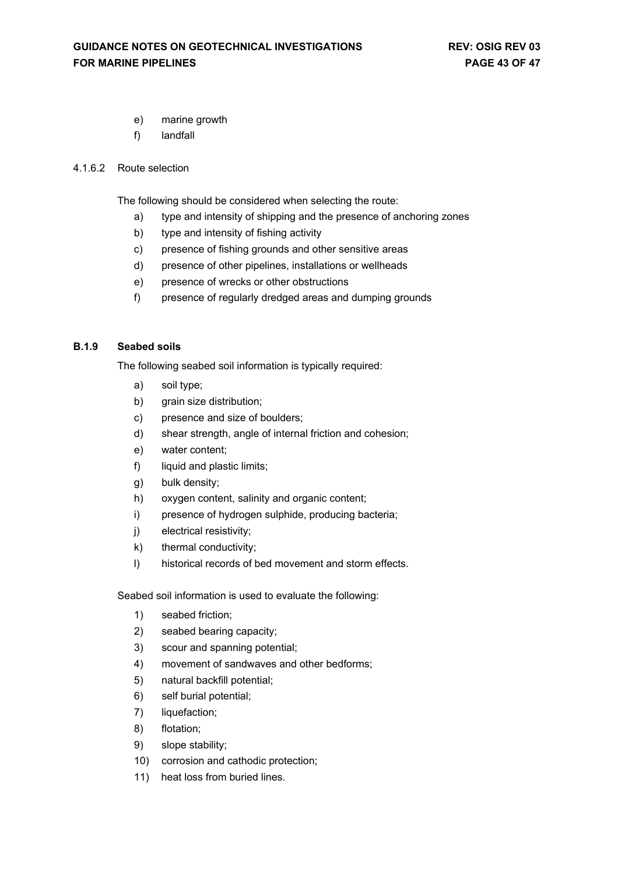- e) marine growth
- f) landfall

### 4.1.6.2 Route selection

The following should be considered when selecting the route:

- a) type and intensity of shipping and the presence of anchoring zones
- b) type and intensity of fishing activity
- c) presence of fishing grounds and other sensitive areas
- d) presence of other pipelines, installations or wellheads
- e) presence of wrecks or other obstructions
- f) presence of regularly dredged areas and dumping grounds

### **B.1.9 Seabed soils**

The following seabed soil information is typically required:

- a) soil type;
- b) grain size distribution;
- c) presence and size of boulders;
- d) shear strength, angle of internal friction and cohesion;
- e) water content;
- f) liquid and plastic limits;
- g) bulk density;
- h) oxygen content, salinity and organic content;
- i) presence of hydrogen sulphide, producing bacteria;
- j) electrical resistivity;
- k) thermal conductivity;
- l) historical records of bed movement and storm effects.

Seabed soil information is used to evaluate the following:

- 1) seabed friction;
- 2) seabed bearing capacity;
- 3) scour and spanning potential;
- 4) movement of sandwaves and other bedforms;
- 5) natural backfill potential;
- 6) self burial potential;
- 7) liquefaction;
- 8) flotation;
- 9) slope stability;
- 10) corrosion and cathodic protection;
- 11) heat loss from buried lines.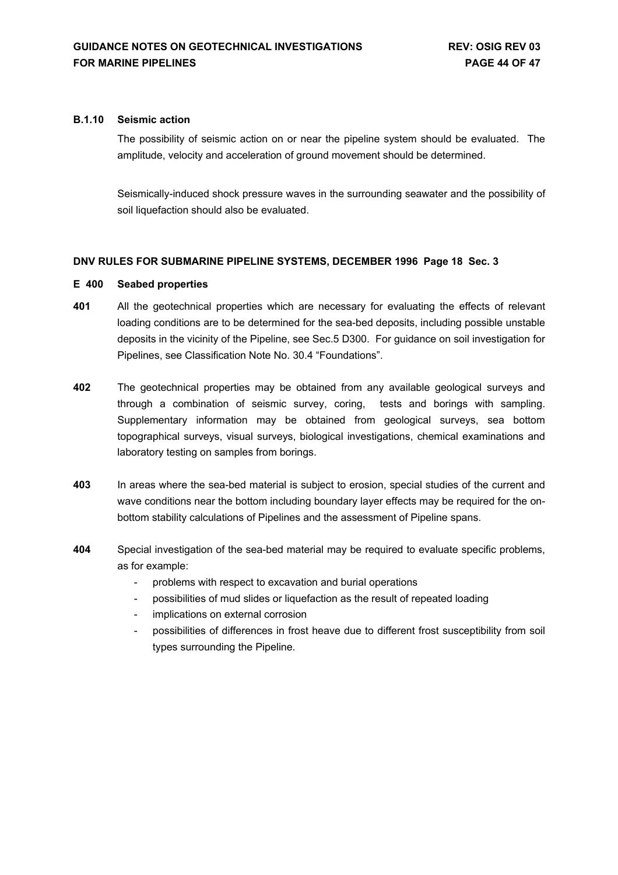### **B.1.10 Seismic action**

The possibility of seismic action on or near the pipeline system should be evaluated. The amplitude, velocity and acceleration of ground movement should be determined.

Seismically-induced shock pressure waves in the surrounding seawater and the possibility of soil liquefaction should also be evaluated.

### **DNV RULES FOR SUBMARINE PIPELINE SYSTEMS, DECEMBER 1996 Page 18 Sec. 3**

### **E 400 Seabed properties**

- **401** All the geotechnical properties which are necessary for evaluating the effects of relevant loading conditions are to be determined for the sea-bed deposits, including possible unstable deposits in the vicinity of the Pipeline, see Sec.5 D300. For guidance on soil investigation for Pipelines, see Classification Note No. 30.4 "Foundations".
- **402** The geotechnical properties may be obtained from any available geological surveys and through a combination of seismic survey, coring, tests and borings with sampling. Supplementary information may be obtained from geological surveys, sea bottom topographical surveys, visual surveys, biological investigations, chemical examinations and laboratory testing on samples from borings.
- **403** In areas where the sea-bed material is subject to erosion, special studies of the current and wave conditions near the bottom including boundary layer effects may be required for the onbottom stability calculations of Pipelines and the assessment of Pipeline spans.
- **404** Special investigation of the sea-bed material may be required to evaluate specific problems, as for example:
	- problems with respect to excavation and burial operations
	- possibilities of mud slides or liquefaction as the result of repeated loading
	- implications on external corrosion
	- possibilities of differences in frost heave due to different frost susceptibility from soil types surrounding the Pipeline.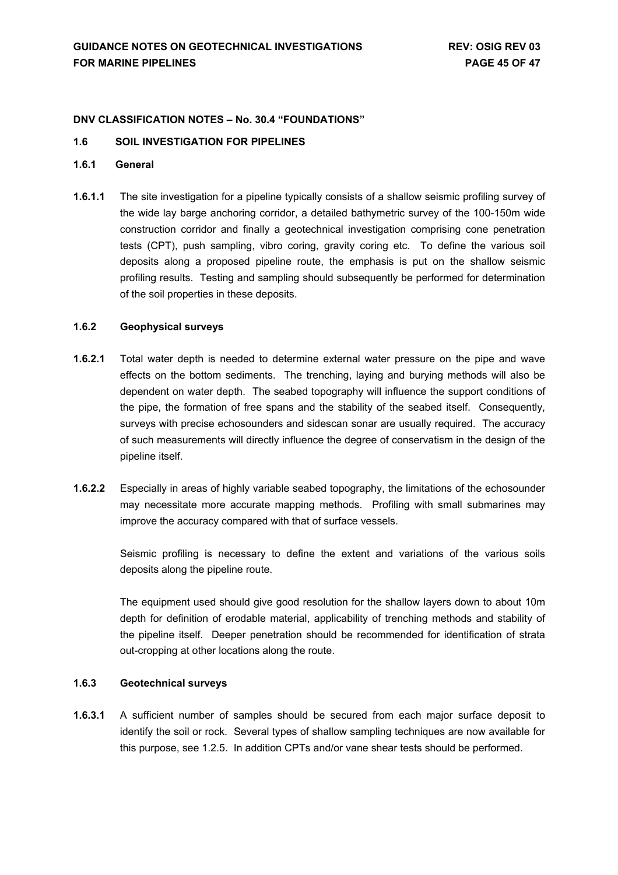#### **DNV CLASSIFICATION NOTES – No. 30.4 "FOUNDATIONS"**

#### **1.6 SOIL INVESTIGATION FOR PIPELINES**

### **1.6.1 General**

**1.6.1.1** The site investigation for a pipeline typically consists of a shallow seismic profiling survey of the wide lay barge anchoring corridor, a detailed bathymetric survey of the 100-150m wide construction corridor and finally a geotechnical investigation comprising cone penetration tests (CPT), push sampling, vibro coring, gravity coring etc. To define the various soil deposits along a proposed pipeline route, the emphasis is put on the shallow seismic profiling results. Testing and sampling should subsequently be performed for determination of the soil properties in these deposits.

### **1.6.2 Geophysical surveys**

- **1.6.2.1** Total water depth is needed to determine external water pressure on the pipe and wave effects on the bottom sediments. The trenching, laying and burying methods will also be dependent on water depth. The seabed topography will influence the support conditions of the pipe, the formation of free spans and the stability of the seabed itself. Consequently, surveys with precise echosounders and sidescan sonar are usually required. The accuracy of such measurements will directly influence the degree of conservatism in the design of the pipeline itself.
- **1.6.2.2** Especially in areas of highly variable seabed topography, the limitations of the echosounder may necessitate more accurate mapping methods. Profiling with small submarines may improve the accuracy compared with that of surface vessels.

Seismic profiling is necessary to define the extent and variations of the various soils deposits along the pipeline route.

The equipment used should give good resolution for the shallow layers down to about 10m depth for definition of erodable material, applicability of trenching methods and stability of the pipeline itself. Deeper penetration should be recommended for identification of strata out-cropping at other locations along the route.

### **1.6.3 Geotechnical surveys**

**1.6.3.1** A sufficient number of samples should be secured from each major surface deposit to identify the soil or rock. Several types of shallow sampling techniques are now available for this purpose, see 1.2.5. In addition CPTs and/or vane shear tests should be performed.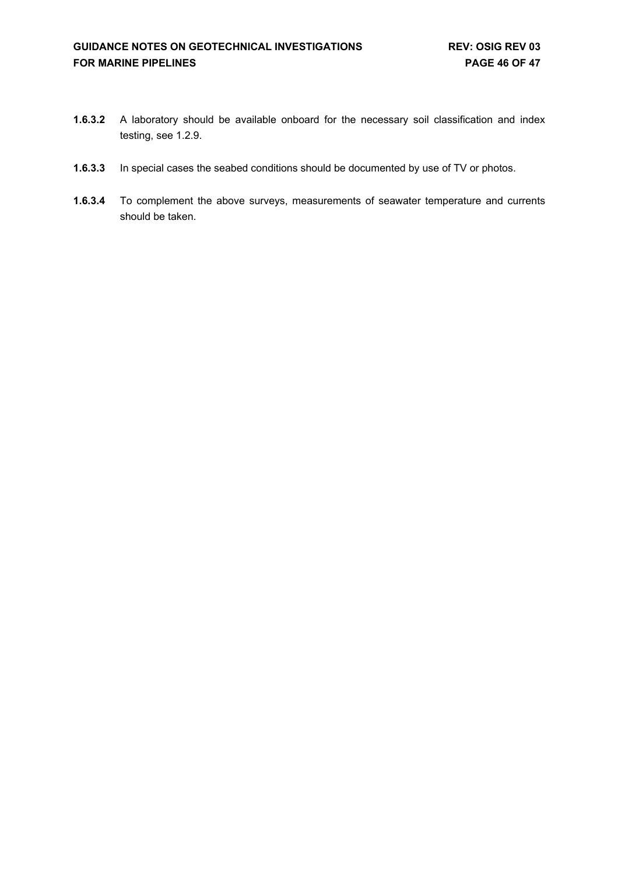- **1.6.3.2** A laboratory should be available onboard for the necessary soil classification and index testing, see 1.2.9.
- **1.6.3.3** In special cases the seabed conditions should be documented by use of TV or photos.
- **1.6.3.4** To complement the above surveys, measurements of seawater temperature and currents should be taken.